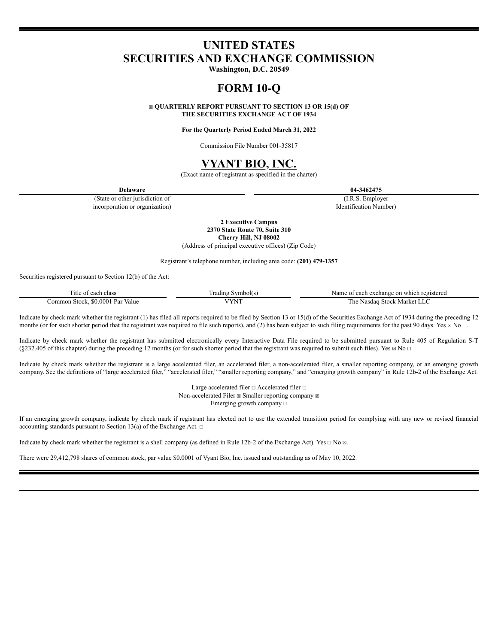# **UNITED STATES SECURITIES AND EXCHANGE COMMISSION**

**Washington, D.C. 20549**

# **FORM 10-Q**

☒ **QUARTERLY REPORT PURSUANT TO SECTION 13 OR 15(d) OF THE SECURITIES EXCHANGE ACT OF 1934**

**For the Quarterly Period Ended March 31, 2022**

Commission File Number 001-35817

# **VYANT BIO, INC.**

(Exact name of registrant as specified in the charter)

**Delaware 04-3462475**

(State or other jurisdiction of (I.R.S. Employer incorporation or organization) Identification Number)

**2 Executive Campus 2370 State Route 70, Suite 310 Cherry Hill, NJ 08002** (Address of principal executive offices) (Zip Code)

Registrant's telephone number, including area code: **(201) 479-1357**

Securities registered pursuant to Section 12(b) of the Act:

| ritle of<br>class<br>each<br>еасп                                                                                                                              | mbol(:<br>radıng<br>.                           | each<br>ı exchange<br>on<br>registere.<br><b>Name</b><br>which<br>$\Omega$ |
|----------------------------------------------------------------------------------------------------------------------------------------------------------------|-------------------------------------------------|----------------------------------------------------------------------------|
| 000<br>ommon<br>. Par<br>alue<br>tock<br>M.<br>the contract of the contract of the contract of the contract of the contract of the contract of the contract of | N<br>- 1<br>the contract of the contract of the | . Marke*<br>Stock<br>Jasdag<br>. ne                                        |

Indicate by check mark whether the registrant (1) has filed all reports required to be filed by Section 13 or 15(d) of the Securities Exchange Act of 1934 during the preceding 12 months (or for such shorter period that the registrant was required to file such reports), and (2) has been subject to such filing requirements for the past 90 days. Yes ⊠ No □.

Indicate by check mark whether the registrant has submitted electronically every Interactive Data File required to be submitted pursuant to Rule 405 of Regulation S-T (§232.405 of this chapter) during the preceding 12 months (or for such shorter period that the registrant was required to submit such files). Yes ⊠ No □

Indicate by check mark whether the registrant is a large accelerated filer, an accelerated filer, a non-accelerated filer, a smaller reporting company, or an emerging growth company. See the definitions of "large accelerated filer," "accelerated filer," "smaller reporting company," and "emerging growth company" in Rule 12b-2 of the Exchange Act.

> Large accelerated filer □ Accelerated filer □ Non-accelerated Filer  $\boxtimes$  Smaller reporting company  $\boxtimes$ Emerging growth company ☐

If an emerging growth company, indicate by check mark if registrant has elected not to use the extended transition period for complying with any new or revised financial accounting standards pursuant to Section 13(a) of the Exchange Act.  $\Box$ 

Indicate by check mark whether the registrant is a shell company (as defined in Rule 12b-2 of the Exchange Act). Yes  $\Box$  No  $\Box$ .

There were 29,412,798 shares of common stock, par value \$0.0001 of Vyant Bio, Inc. issued and outstanding as of May 10, 2022.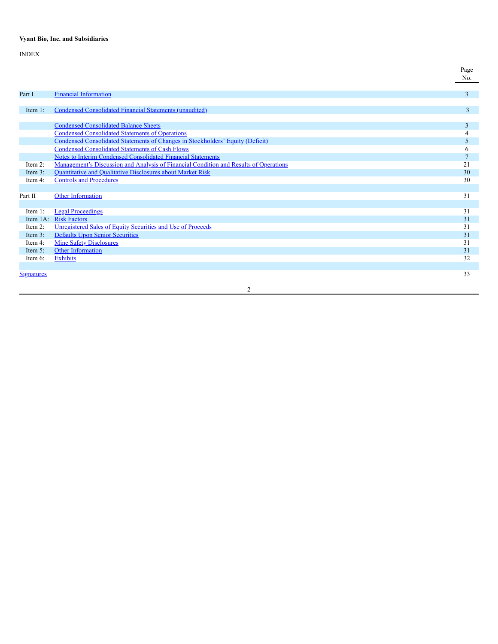# **Vyant Bio, Inc. and Subsidiaries**

INDEX

|                   |                                                                                       | Page<br>No.    |
|-------------------|---------------------------------------------------------------------------------------|----------------|
|                   |                                                                                       |                |
| Part I            | <b>Financial Information</b>                                                          | 3              |
| Item $1$ :        | <b>Condensed Consolidated Financial Statements (unaudited)</b>                        | 3              |
|                   |                                                                                       |                |
|                   | <b>Condensed Consolidated Balance Sheets</b>                                          | $\overline{3}$ |
|                   | <b>Condensed Consolidated Statements of Operations</b>                                | 4              |
|                   | Condensed Consolidated Statements of Changes in Stockholders' Equity (Deficit)        | 5              |
|                   | <b>Condensed Consolidated Statements of Cash Flows</b>                                | 6              |
|                   | <b>Notes to Interim Condensed Consolidated Financial Statements</b>                   | $\overline{7}$ |
| Item $2$ :        | Management's Discussion and Analysis of Financial Condition and Results of Operations | 21             |
| Item $3$ :        | Quantitative and Qualitative Disclosures about Market Risk                            | 30             |
| Item 4:           | <b>Controls and Procedures</b>                                                        | 30             |
|                   |                                                                                       |                |
| Part II           | Other Information                                                                     | 31             |
|                   |                                                                                       |                |
| Item $1$ :        | <b>Legal Proceedings</b>                                                              | 31             |
| Item 1A:          | <b>Risk Factors</b>                                                                   | 31             |
| Item $2$ :        | Unregistered Sales of Equity Securities and Use of Proceeds                           | 31             |
| Item $3$ :        | <b>Defaults Upon Senior Securities</b>                                                | 31             |
| Item 4:           | <b>Mine Safety Disclosures</b>                                                        | 31             |
| Item $5$ :        | <b>Other Information</b>                                                              | 31             |
| Item $6$ :        | <b>Exhibits</b>                                                                       | 32             |
|                   |                                                                                       |                |
| <b>Signatures</b> |                                                                                       | 33             |
|                   |                                                                                       |                |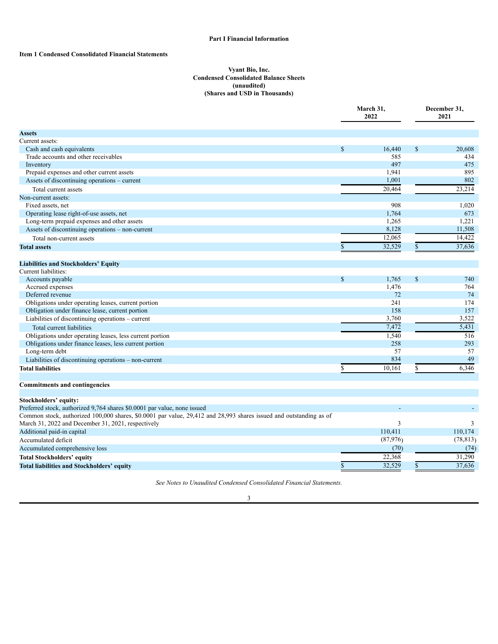## **Part I Financial Information**

# <span id="page-2-2"></span><span id="page-2-1"></span><span id="page-2-0"></span>**Item 1 Condensed Consolidated Financial Statements**

## **Vyant Bio, Inc. Condensed Consolidated Balance Sheets (unaudited) (Shares and USD in Thousands)**

|                                                                                                                    |             | March 31,<br>2022 | December 31,<br>2021 |                  |
|--------------------------------------------------------------------------------------------------------------------|-------------|-------------------|----------------------|------------------|
| <b>Assets</b>                                                                                                      |             |                   |                      |                  |
| Current assets:                                                                                                    |             |                   |                      |                  |
| Cash and cash equivalents                                                                                          | $\mathbf S$ | 16,440            | \$                   | 20,608           |
| Trade accounts and other receivables                                                                               |             | 585               |                      | 434              |
| Inventory                                                                                                          |             | 497               |                      | 475              |
| Prepaid expenses and other current assets                                                                          |             | 1,941             |                      | 895              |
| Assets of discontinuing operations – current                                                                       |             | 1,001             |                      | 802              |
| Total current assets                                                                                               |             | 20,464            |                      | 23,214           |
| Non-current assets:                                                                                                |             |                   |                      |                  |
| Fixed assets, net                                                                                                  |             | 908               |                      | 1,020            |
| Operating lease right-of-use assets, net                                                                           |             | 1,764             |                      | 673              |
| Long-term prepaid expenses and other assets                                                                        |             | 1,265             |                      | 1,221            |
| Assets of discontinuing operations - non-current                                                                   |             | 8,128             |                      | 11,508           |
| Total non-current assets                                                                                           |             | 12.065            |                      | 14.422           |
| <b>Total assets</b>                                                                                                |             | 32,529            | $\mathbb{S}$         | 37,636           |
| <b>Liabilities and Stockholders' Equity</b>                                                                        |             |                   |                      |                  |
| Current liabilities:                                                                                               |             |                   |                      |                  |
| Accounts payable                                                                                                   | $\mathbf S$ | 1,765             | \$                   | 740              |
| Accrued expenses                                                                                                   |             | 1,476             |                      | 764              |
| Deferred revenue                                                                                                   |             | 72                |                      | 74               |
| Obligations under operating leases, current portion                                                                |             | 241               |                      | 174              |
| Obligation under finance lease, current portion                                                                    |             | 158               |                      | 157              |
| Liabilities of discontinuing operations – current                                                                  |             | 3,760             |                      | 3,522            |
| Total current liabilities                                                                                          |             | 7,472             |                      | 5,431            |
| Obligations under operating leases, less current portion                                                           |             | 1,540             |                      | $\overline{516}$ |
| Obligations under finance leases, less current portion                                                             |             | 258               |                      | 293              |
| Long-term debt                                                                                                     |             | 57                |                      | 57               |
| Liabilities of discontinuing operations - non-current                                                              |             | 834               |                      | 49               |
| <b>Total liabilities</b>                                                                                           | S           | 10.161            | \$                   | 6,346            |
| <b>Commitments and contingencies</b>                                                                               |             |                   |                      |                  |
| <b>Stockholders' equity:</b>                                                                                       |             |                   |                      |                  |
| Preferred stock, authorized 9,764 shares \$0.0001 par value, none issued                                           |             |                   |                      |                  |
| Common stock, authorized 100,000 shares, \$0.0001 par value, 29,412 and 28,993 shares issued and outstanding as of |             |                   |                      |                  |
| March 31, 2022 and December 31, 2021, respectively                                                                 |             | 3                 |                      | 3                |
| Additional paid-in capital                                                                                         |             | 110,411           |                      | 110,174          |
| Accumulated deficit                                                                                                |             | (87,976)          |                      | (78, 813)        |
| Accumulated comprehensive loss                                                                                     |             | (70)              |                      | (74)             |
| <b>Total Stockholders' equity</b>                                                                                  |             | 22,368            |                      | 31,290           |
| <b>Total liabilities and Stockholders' equity</b>                                                                  | S           | 32,529            | \$                   | 37,636           |
|                                                                                                                    |             |                   |                      |                  |

*See Notes to Unaudited Condensed Consolidated Financial Statements.*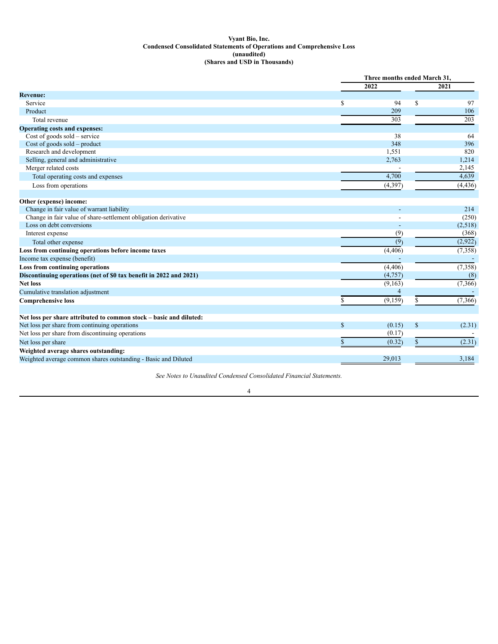#### **Vyant Bio, Inc. Condensed Consolidated Statements of Operations and Comprehensive Loss (unaudited) (Shares and USD in Thousands)**

<span id="page-3-0"></span>

|                                                                    | Three months ended March 31, |          |    |          |
|--------------------------------------------------------------------|------------------------------|----------|----|----------|
|                                                                    |                              | 2022     |    | 2021     |
| <b>Revenue:</b>                                                    |                              |          |    |          |
| Service                                                            | S                            | 94       | \$ | 97       |
| Product                                                            |                              | 209      |    | 106      |
| Total revenue                                                      |                              | 303      |    | 203      |
| <b>Operating costs and expenses:</b>                               |                              |          |    |          |
| Cost of goods $sold$ – service                                     |                              | 38       |    | 64       |
| Cost of goods $sold$ – product                                     |                              | 348      |    | 396      |
| Research and development                                           |                              | 1,551    |    | 820      |
| Selling, general and administrative                                |                              | 2,763    |    | 1,214    |
| Merger related costs                                               |                              |          |    | 2,145    |
| Total operating costs and expenses                                 |                              | 4,700    |    | 4,639    |
| Loss from operations                                               |                              | (4, 397) |    | (4,436)  |
| Other (expense) income:                                            |                              |          |    |          |
| Change in fair value of warrant liability                          |                              |          |    | 214      |
| Change in fair value of share-settlement obligation derivative     |                              |          |    | (250)    |
| Loss on debt conversions                                           |                              |          |    | (2,518)  |
| Interest expense                                                   |                              | (9)      |    | (368)    |
| Total other expense                                                |                              | (9)      |    | (2,922)  |
| Loss from continuing operations before income taxes                |                              | (4, 406) |    | (7, 358) |
| Income tax expense (benefit)                                       |                              |          |    |          |
| Loss from continuing operations                                    |                              | (4, 406) |    | (7,358)  |
| Discontinuing operations (net of \$0 tax benefit in 2022 and 2021) |                              | (4,757)  |    | (8)      |
| <b>Net loss</b>                                                    |                              | (9,163)  |    | (7,366)  |
| Cumulative translation adjustment                                  |                              | 4        |    |          |
| <b>Comprehensive loss</b>                                          |                              | (9,159)  | S. | (7,366)  |
|                                                                    |                              |          |    |          |
| Net loss per share attributed to common stock - basic and diluted: |                              |          |    |          |
| Net loss per share from continuing operations                      | $\mathcal{S}$                | (0.15)   | \$ | (2.31)   |
| Net loss per share from discontinuing operations                   |                              | (0.17)   |    |          |
| Net loss per share                                                 |                              | (0.32)   |    | (2.31)   |
| Weighted average shares outstanding:                               |                              |          |    |          |
| Weighted average common shares outstanding - Basic and Diluted     |                              | 29,013   |    | 3,184    |

*See Notes to Unaudited Condensed Consolidated Financial Statements.*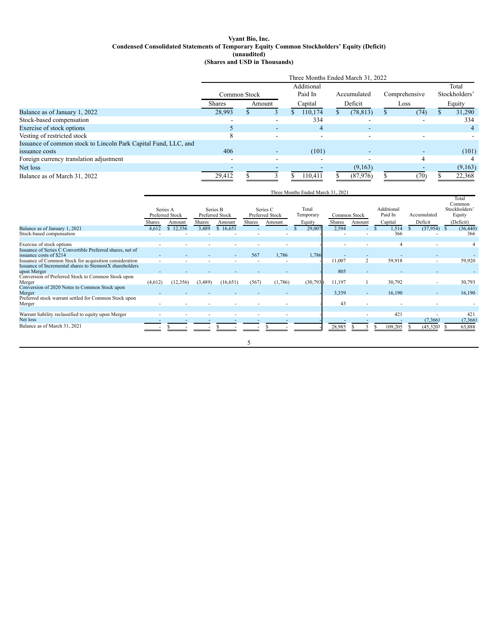#### **Vyant Bio, Inc. Condensed Consolidated Statements of Temporary Equity Common Stockholders' Equity (Deficit) (unaudited) (Shares and USD in Thousands)**

<span id="page-4-0"></span>

|                                                                 |               |              |        |            | Three Months Ended March 31, 2022 |               |               |
|-----------------------------------------------------------------|---------------|--------------|--------|------------|-----------------------------------|---------------|---------------|
|                                                                 |               |              |        | Additional |                                   |               | Total         |
|                                                                 |               | Common Stock |        | Paid In    | Accumulated                       | Comprehensive | Stockholders' |
|                                                                 | <b>Shares</b> |              | Amount | Capital    | Deficit                           | Loss          | Equity        |
| Balance as of January 1, 2022                                   | 28,993        |              |        | 110.174    | (78, 813)                         | (74)          | 31.290        |
| Stock-based compensation                                        |               |              |        | 334        |                                   |               | 334           |
| Exercise of stock options                                       |               |              |        | 4          | ٠                                 |               | 4             |
| Vesting of restricted stock                                     | 8             |              |        |            |                                   |               |               |
| Issuance of common stock to Lincoln Park Capital Fund, LLC, and |               |              |        |            |                                   |               |               |
| issuance costs                                                  | 406           |              | -      | (101)      |                                   |               | (101)         |
| Foreign currency translation adjustment                         |               |              |        |            |                                   |               |               |
| Net loss                                                        |               |              |        |            | (9,163)                           |               | (9,163)       |
| Balance as of March 31, 2022                                    | 29.412        |              |        | 110,411    | (87,976)                          | (70)          | 22,368        |

|                                                                                                                   |         |                                       |         |                                       |        |                                       | Three Months Ended March 31, 2021 |        |                        |                                  |                          |                                                         |
|-------------------------------------------------------------------------------------------------------------------|---------|---------------------------------------|---------|---------------------------------------|--------|---------------------------------------|-----------------------------------|--------|------------------------|----------------------------------|--------------------------|---------------------------------------------------------|
|                                                                                                                   | Shares  | Series A<br>Preferred Stock<br>Amount | Shares  | Series B<br>Preferred Stock<br>Amount | Shares | Series C<br>Preferred Stock<br>Amount | Total<br>Temporary<br>Equity      | Shares | Common Stock<br>Amount | Additional<br>Paid In<br>Capital | Accumulated<br>Deficit   | Total<br>Common<br>Stockholders'<br>Equity<br>(Deficit) |
| Balance as of January 1, 2021                                                                                     | 4,612   | \$12,356                              | 3,489   | \$16,651                              |        |                                       | 29,007                            | 2,594  |                        | 1,514                            | (37, 954)                | (36, 440)                                               |
| Stock-based compensation                                                                                          |         |                                       |         |                                       |        |                                       |                                   |        |                        | 366                              |                          | 366                                                     |
| Exercise of stock options                                                                                         |         |                                       |         |                                       |        |                                       |                                   |        |                        | $\overline{4}$                   |                          | $\overline{4}$                                          |
| Issuance of Series C Convertible Preferred shares, net of<br>issuance costs of \$214                              |         |                                       |         |                                       | 567    | 1,786                                 | 1,786                             |        |                        |                                  |                          |                                                         |
| Issuance of Common Stock for acquisition consideration<br>Issuance of Incremental shares to StemoniX shareholders |         |                                       |         |                                       |        |                                       |                                   | 11,007 | 2                      | 59,918                           | $\overline{\phantom{a}}$ | 59,920                                                  |
| upon Merger                                                                                                       |         |                                       |         |                                       |        |                                       |                                   | 805    |                        |                                  |                          |                                                         |
| Conversion of Preferred Stock to Common Stock upon<br>Merger                                                      | (4,612) | (12,356)                              | (3,489) | (16, 651)                             | (567)  | (1,786)                               | (30, 793)                         | 11,197 |                        | 30,792                           | ٠                        | 30,793                                                  |
| Conversion of 2020 Notes to Common Stock upon<br>Merger                                                           |         |                                       |         |                                       |        |                                       |                                   | 3,339  | ۰                      | 16,190                           | $\overline{\phantom{a}}$ | 16,190                                                  |
| Preferred stock warrant settled for Common Stock upon<br>Merger                                                   |         |                                       |         |                                       |        |                                       |                                   | 43     |                        |                                  |                          |                                                         |
|                                                                                                                   |         |                                       |         |                                       |        |                                       |                                   |        |                        |                                  |                          |                                                         |
| Warrant liability reclassified to equity upon Merger<br>Net loss                                                  |         |                                       |         |                                       |        |                                       |                                   |        | ٠                      | 421                              | (7,366)                  | 421<br>(7,366)                                          |
| Balance as of March 31, 2021                                                                                      |         |                                       |         |                                       |        |                                       |                                   | 28,985 |                        | 109,205                          | (45,320)                 | 63,888                                                  |
|                                                                                                                   |         |                                       |         |                                       | 5      |                                       |                                   |        |                        |                                  |                          |                                                         |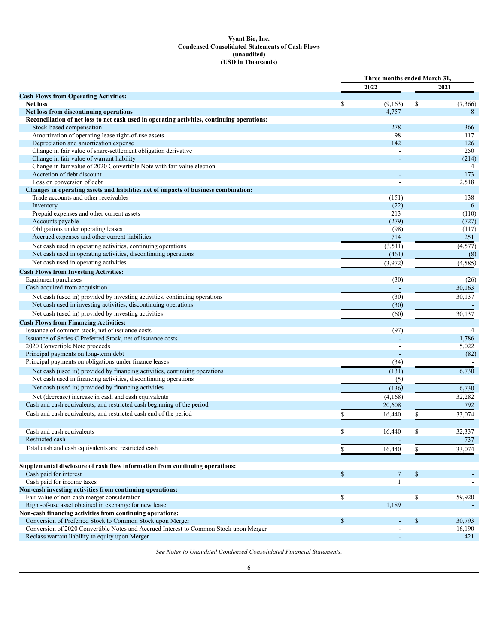#### **Vyant Bio, Inc. Condensed Consolidated Statements of Cash Flows (unaudited) (USD in Thousands)**

<span id="page-5-0"></span>

|                                                                                             |              | Three months ended March 31, |    |                |
|---------------------------------------------------------------------------------------------|--------------|------------------------------|----|----------------|
|                                                                                             |              | 2022                         |    | 2021           |
| <b>Cash Flows from Operating Activities:</b>                                                |              |                              |    |                |
| <b>Net loss</b>                                                                             | \$           | (9,163)                      | \$ | (7, 366)       |
| Net loss from discontinuing operations                                                      |              | 4,757                        |    | 8              |
| Reconciliation of net loss to net cash used in operating activities, continuing operations: |              |                              |    |                |
| Stock-based compensation                                                                    |              | 278                          |    | 366            |
| Amortization of operating lease right-of-use assets                                         |              | 98                           |    | 117            |
| Depreciation and amortization expense                                                       |              | 142                          |    | 126            |
| Change in fair value of share-settlement obligation derivative                              |              |                              |    | 250            |
| Change in fair value of warrant liability                                                   |              |                              |    | (214)          |
| Change in fair value of 2020 Convertible Note with fair value election                      |              |                              |    | $\overline{4}$ |
| Accretion of debt discount                                                                  |              |                              |    | 173            |
| Loss on conversion of debt                                                                  |              | $\overline{\phantom{a}}$     |    | 2,518          |
| Changes in operating assets and liabilities net of impacts of business combination:         |              |                              |    |                |
| Trade accounts and other receivables                                                        |              | (151)                        |    | 138            |
| Inventory                                                                                   |              | (22)                         |    | 6              |
| Prepaid expenses and other current assets                                                   |              | 213                          |    | (110)          |
| Accounts payable                                                                            |              | (279)                        |    | (727)          |
| Obligations under operating leases                                                          |              | (98)                         |    | (117)          |
| Accrued expenses and other current liabilities                                              |              | 714                          |    | 251            |
| Net cash used in operating activities, continuing operations                                |              | (3,511)                      |    | (4, 577)       |
| Net cash used in operating activities, discontinuing operations                             |              | (461)                        |    | (8)            |
| Net cash used in operating activities                                                       |              | (3,972)                      |    | (4,585)        |
| <b>Cash Flows from Investing Activities:</b>                                                |              |                              |    |                |
| Equipment purchases                                                                         |              | (30)                         |    | (26)           |
| Cash acquired from acquisition                                                              |              |                              |    | 30,163         |
| Net cash (used in) provided by investing activities, continuing operations                  |              | (30)                         |    | 30,137         |
| Net cash used in investing activities, discontinuing operations                             |              | (30)                         |    |                |
| Net cash (used in) provided by investing activities                                         |              | (60)                         |    | 30,137         |
| <b>Cash Flows from Financing Activities:</b>                                                |              |                              |    |                |
| Issuance of common stock, net of issuance costs                                             |              | (97)                         |    | 4              |
| Issuance of Series C Preferred Stock, net of issuance costs                                 |              | $\overline{\phantom{a}}$     |    | 1,786          |
| 2020 Convertible Note proceeds                                                              |              |                              |    | 5,022          |
| Principal payments on long-term debt                                                        |              |                              |    | (82)           |
| Principal payments on obligations under finance leases                                      |              | (34)                         |    |                |
| Net cash (used in) provided by financing activities, continuing operations                  |              | (131)                        |    | 6,730          |
| Net cash used in financing activities, discontinuing operations                             |              |                              |    |                |
|                                                                                             |              | (5)                          |    |                |
| Net cash (used in) provided by financing activities                                         |              | (136)                        |    | 6,730          |
| Net (decrease) increase in cash and cash equivalents                                        |              | (4,168)                      |    | 32,282         |
| Cash and cash equivalents, and restricted cash beginning of the period                      |              | 20,608                       |    | 792            |
| Cash and cash equivalents, and restricted cash end of the period                            | S            | 16,440                       | \$ | 33,074         |
|                                                                                             |              |                              |    |                |
| Cash and cash equivalents                                                                   | \$           | 16,440                       | \$ | 32,337         |
| Restricted cash                                                                             |              |                              |    | 737            |
| Total cash and cash equivalents and restricted cash                                         |              | 16,440                       | \$ | 33,074         |
|                                                                                             |              |                              |    |                |
| Supplemental disclosure of cash flow information from continuing operations:                |              |                              |    |                |
| Cash paid for interest                                                                      | $\mathbb{S}$ | $\overline{7}$               | \$ |                |
| Cash paid for income taxes                                                                  |              | 1                            |    |                |
| Non-cash investing activities from continuing operations:                                   |              |                              |    |                |
| Fair value of non-cash merger consideration                                                 | \$           |                              | \$ | 59,920         |
| Right-of-use asset obtained in exchange for new lease                                       |              | 1,189                        |    |                |
| Non-cash financing activities from continuing operations:                                   |              |                              |    |                |
| Conversion of Preferred Stock to Common Stock upon Merger                                   | \$           |                              | \$ | 30,793         |
| Conversion of 2020 Convertible Notes and Accrued Interest to Common Stock upon Merger       |              |                              |    | 16,190         |
| Reclass warrant liability to equity upon Merger                                             |              | $\sim$                       |    | 421            |

*See Notes to Unaudited Condensed Consolidated Financial Statements.*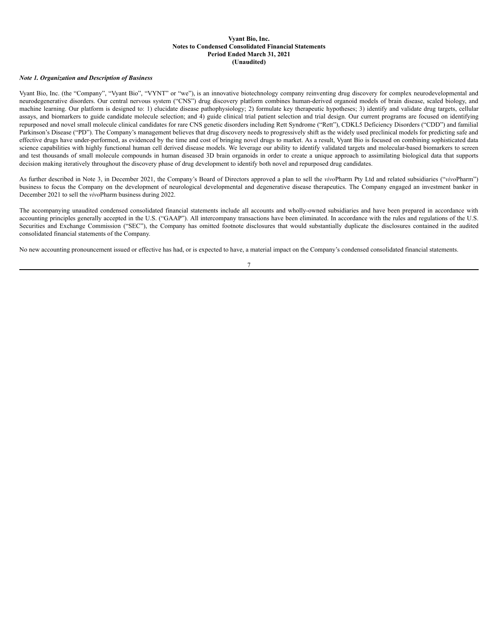#### **Vyant Bio, Inc. Notes to Condensed Consolidated Financial Statements Period Ended March 31, 2021 (Unaudited)**

#### <span id="page-6-0"></span>*Note 1. Organization and Description of Business*

Vyant Bio, Inc. (the "Company", "Vyant Bio", "VYNT" or "we"), is an innovative biotechnology company reinventing drug discovery for complex neurodevelopmental and neurodegenerative disorders. Our central nervous system ("CNS") drug discovery platform combines human-derived organoid models of brain disease, scaled biology, and machine learning. Our platform is designed to: 1) elucidate disease pathophysiology; 2) formulate key therapeutic hypotheses; 3) identify and validate drug targets, cellular assays, and biomarkers to guide candidate molecule selection; and 4) guide clinical trial patient selection and trial design. Our current programs are focused on identifying repurposed and novel small molecule clinical candidates for rare CNS genetic disorders including Rett Syndrome ("Rett"), CDKL5 Deficiency Disorders ("CDD") and familial Parkinson's Disease ("PD"). The Company's management believes that drug discovery needs to progressively shift as the widely used preclinical models for predicting safe and effective drugs have under-performed, as evidenced by the time and cost of bringing novel drugs to market. As a result, Vyant Bio is focused on combining sophisticated data science capabilities with highly functional human cell derived disease models. We leverage our ability to identify validated targets and molecular-based biomarkers to screen and test thousands of small molecule compounds in human diseased 3D brain organoids in order to create a unique approach to assimilating biological data that supports decision making iteratively throughout the discovery phase of drug development to identify both novel and repurposed drug candidates.

As further described in Note 3, in December 2021, the Company's Board of Directors approved a plan to sell the *vivo*Pharm Pty Ltd and related subsidiaries ("*vivo*Pharm") business to focus the Company on the development of neurological developmental and degenerative disease therapeutics. The Company engaged an investment banker in December 2021 to sell the *vivo*Pharm business during 2022.

The accompanying unaudited condensed consolidated financial statements include all accounts and wholly-owned subsidiaries and have been prepared in accordance with accounting principles generally accepted in the U.S. ("GAAP"). All intercompany transactions have been eliminated. In accordance with the rules and regulations of the U.S. Securities and Exchange Commission ("SEC"), the Company has omitted footnote disclosures that would substantially duplicate the disclosures contained in the audited consolidated financial statements of the Company.

No new accounting pronouncement issued or effective has had, or is expected to have, a material impact on the Company's condensed consolidated financial statements.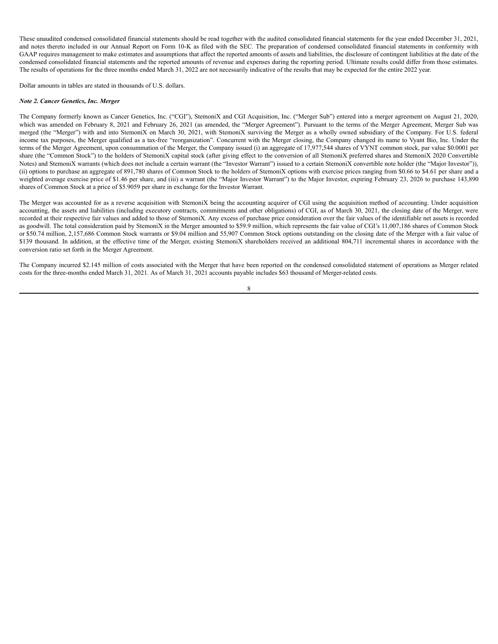These unaudited condensed consolidated financial statements should be read together with the audited consolidated financial statements for the year ended December 31, 2021, and notes thereto included in our Annual Report on Form 10-K as filed with the SEC. The preparation of condensed consolidated financial statements in conformity with GAAP requires management to make estimates and assumptions that affect the reported amounts of assets and liabilities, the disclosure of contingent liabilities at the date of the condensed consolidated financial statements and the reported amounts of revenue and expenses during the reporting period. Ultimate results could differ from those estimates. The results of operations for the three months ended March 31, 2022 are not necessarily indicative of the results that may be expected for the entire 2022 year.

Dollar amounts in tables are stated in thousands of U.S. dollars.

#### *Note 2. Cancer Genetics, Inc. Merger*

The Company formerly known as Cancer Genetics, Inc. ("CGI"), StemoniX and CGI Acquisition, Inc. ("Merger Sub") entered into a merger agreement on August 21, 2020, which was amended on February 8, 2021 and February 26, 2021 (as amended, the "Merger Agreement"). Pursuant to the terms of the Merger Agreement, Merger Sub was merged (the "Merger") with and into StemoniX on March 30, 2021, with StemoniX surviving the Merger as a wholly owned subsidiary of the Company. For U.S. federal income tax purposes, the Merger qualified as a tax-free "reorganization". Concurrent with the Merger closing, the Company changed its name to Vyant Bio, Inc. Under the terms of the Merger Agreement, upon consummation of the Merger, the Company issued (i) an aggregate of 17,977,544 shares of VYNT common stock, par value \$0.0001 per share (the "Common Stock") to the holders of StemoniX capital stock (after giving effect to the conversion of all StemoniX preferred shares and StemoniX 2020 Convertible Notes) and StemoniX warrants (which does not include a certain warrant (the "Investor Warrant") issued to a certain StemoniX convertible note holder (the "Major Investor")), (ii) options to purchase an aggregate of 891,780 shares of Common Stock to the holders of StemoniX options with exercise prices ranging from \$0.66 to \$4.61 per share and a weighted average exercise price of \$1.46 per share, and (iii) a warrant (the "Major Investor Warrant") to the Major Investor, expiring February 23, 2026 to purchase 143,890 shares of Common Stock at a price of \$5.9059 per share in exchange for the Investor Warrant.

The Merger was accounted for as a reverse acquisition with StemoniX being the accounting acquirer of CGI using the acquisition method of accounting. Under acquisition accounting, the assets and liabilities (including executory contracts, commitments and other obligations) of CGI, as of March 30, 2021, the closing date of the Merger, were recorded at their respective fair values and added to those of StemoniX. Any excess of purchase price consideration over the fair values of the identifiable net assets is recorded as goodwill. The total consideration paid by StemoniX in the Merger amounted to \$59.9 million, which represents the fair value of CGI's 11,007,186 shares of Common Stock or \$50.74 million, 2,157,686 Common Stock warrants or \$9.04 million and 55,907 Common Stock options outstanding on the closing date of the Merger with a fair value of \$139 thousand. In addition, at the effective time of the Merger, existing StemoniX shareholders received an additional 804,711 incremental shares in accordance with the conversion ratio set forth in the Merger Agreement.

The Company incurred \$2.145 million of costs associated with the Merger that have been reported on the condensed consolidated statement of operations as Merger related costs for the three-months ended March 31, 2021. As of March 31, 2021 accounts payable includes \$63 thousand of Merger-related costs.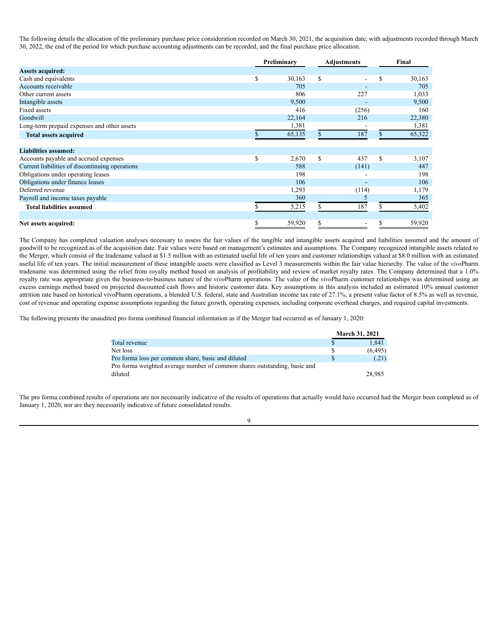The following details the allocation of the preliminary purchase price consideration recorded on March 30, 2021, the acquisition date, with adjustments recorded through March 30, 2022, the end of the period for which purchase accounting adjustments can be recorded, and the final purchase price allocation.

|                                                 | Preliminary  | <b>Adjustments</b> |       |   | Final  |  |
|-------------------------------------------------|--------------|--------------------|-------|---|--------|--|
| <b>Assets acquired:</b>                         |              |                    |       |   |        |  |
| Cash and equivalents                            | \$<br>30,163 | S                  |       | S | 30,163 |  |
| Accounts receivable                             | 705          |                    |       |   | 705    |  |
| Other current assets                            | 806          |                    | 227   |   | 1,033  |  |
| Intangible assets                               | 9,500        |                    |       |   | 9,500  |  |
| Fixed assets                                    | 416          |                    | (256) |   | 160    |  |
| Goodwill                                        | 22,164       |                    | 216   |   | 22,380 |  |
| Long-term prepaid expenses and other assets     | 1,381        |                    |       |   | 1,381  |  |
| <b>Total assets acquired</b>                    | 65,135       |                    | 187   |   | 65,322 |  |
| <b>Liabilities assumed:</b>                     |              |                    |       |   |        |  |
| Accounts payable and accrued expenses           | \$<br>2,670  | $\mathbf S$        | 437   | S | 3,107  |  |
| Current liabilities of discontinuing operations | 588          |                    | (141) |   | 447    |  |
| Obligations under operating leases              | 198          |                    |       |   | 198    |  |
| Obligations under finance leases                | 106          |                    |       |   | 106    |  |
| Deferred revenue                                | 1,293        |                    | (114) |   | 1,179  |  |
| Payroll and income taxes payable                | 360          |                    |       |   | 365    |  |
| <b>Total liabilities assumed</b>                | 5,215        |                    | 187   |   | 5,402  |  |
| Net assets acquired:                            | \$<br>59,920 | \$                 | ۰     | S | 59,920 |  |

The Company has completed valuation analyses necessary to assess the fair values of the tangible and intangible assets acquired and liabilities assumed and the amount of goodwill to be recognized as of the acquisition date. Fair values were based on management's estimates and assumptions. The Company recognized intangible assets related to the Merger, which consist of the tradename valued at \$1.5 million with an estimated useful life of ten years and customer relationships valued at \$8.0 million with an estimated useful life of ten years. The initial measurement of these intangible assets were classified as Level 3 measurements within the fair value hierarchy. The value of the *vivo*Pharm tradename was determined using the relief from royalty method based on analysis of profitability and review of market royalty rates. The Company determined that a 1.0% royalty rate was appropriate given the business-to-business nature of the *vivo*Pharm operations. The value of the *vivo*Pharm customer relationships was determined using an excess earnings method based on projected discounted cash flows and historic customer data. Key assumptions in this analysis included an estimated 10% annual customer attrition rate based on historical vivoPharm operations, a blended U.S. federal, state and Australian income tax rate of 27.1%, a present value factor of 8.5% as well as revenue, cost of revenue and operating expense assumptions regarding the future growth, operating expenses, including corporate overhead charges, and required capital investments.

The following presents the unaudited pro forma combined financial information as if the Merger had occurred as of January 1, 2020:

|                                                                           |    | <b>March 31, 2021</b> |
|---------------------------------------------------------------------------|----|-----------------------|
| Total revenue                                                             |    | 1.841                 |
| Net loss                                                                  | S  | (6, 495)              |
| Pro forma loss per common share, basic and diluted                        | S. | (.21)                 |
| Pro forma weighted average number of common shares outstanding, basic and |    |                       |
| diluted                                                                   |    | 28.985                |

The pro forma combined results of operations are not necessarily indicative of the results of operations that actually would have occurred had the Merger been completed as of January 1, 2020, nor are they necessarily indicative of future consolidated results.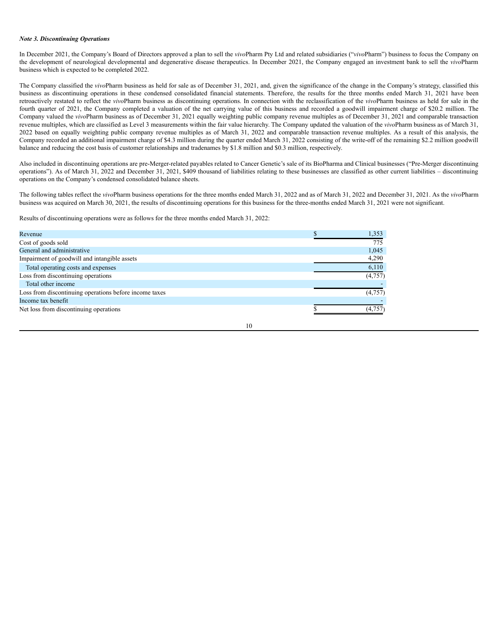#### *Note 3. Discontinuing Operations*

In December 2021, the Company's Board of Directors approved a plan to sell the *vivo*Pharm Pty Ltd and related subsidiaries ("*vivo*Pharm") business to focus the Company on the development of neurological developmental and degenerative disease therapeutics. In December 2021, the Company engaged an investment bank to sell the *vivo*Pharm business which is expected to be completed 2022.

The Company classified the *vivo*Pharm business as held for sale as of December 31, 2021, and, given the significance of the change in the Company's strategy, classified this business as discontinuing operations in these condensed consolidated financial statements. Therefore, the results for the three months ended March 31, 2021 have been retroactively restated to reflect the *vivo*Pharm business as discontinuing operations. In connection with the reclassification of the *vivo*Pharm business as held for sale in the fourth quarter of 2021, the Company completed a valuation of the net carrying value of this business and recorded a goodwill impairment charge of \$20.2 million. The Company valued the *vivo*Pharm business as of December 31, 2021 equally weighting public company revenue multiples as of December 31, 2021 and comparable transaction revenue multiples, which are classified as Level 3 measurements within the fair value hierarchy. The Company updated the valuation of the *vivo*Pharm business as of March 31, 2022 based on equally weighting public company revenue multiples as of March 31, 2022 and comparable transaction revenue multiples. As a result of this analysis, the Company recorded an additional impairment charge of \$4.3 million during the quarter ended March 31, 2022 consisting of the write-off of the remaining \$2.2 million goodwill balance and reducing the cost basis of customer relationships and tradenames by \$1.8 million and \$0.3 million, respectively.

Also included in discontinuing operations are pre-Merger-related payables related to Cancer Genetic's sale of its BioPharma and Clinical businesses ("Pre-Merger discontinuing operations"). As of March 31, 2022 and December 31, 2021, \$409 thousand of liabilities relating to these businesses are classified as other current liabilities – discontinuing operations on the Company's condensed consolidated balance sheets.

The following tables reflect the *vivo*Pharm business operations for the three months ended March 31, 2022 and as of March 31, 2022 and December 31, 2021. As the *vivo*Pharm business was acquired on March 30, 2021, the results of discontinuing operations for this business for the three-months ended March 31, 2021 were not significant.

Results of discontinuing operations were as follows for the three months ended March 31, 2022:

| 1,353   |
|---------|
| 775     |
| 1,045   |
| 4,290   |
| 6,110   |
| (4,757) |
|         |
| (4,757) |
|         |
| (4.757  |
|         |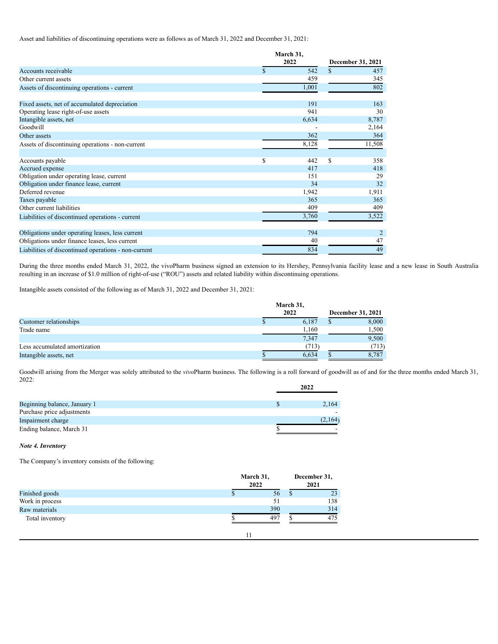Asset and liabilities of discontinuing operations were as follows as of March 31, 2022 and December 31, 2021:

|                                                      |              | March 31, |    |                   |
|------------------------------------------------------|--------------|-----------|----|-------------------|
|                                                      |              | 2022      |    | December 31, 2021 |
| Accounts receivable                                  | $\mathbb{S}$ | 542       | \$ | 457               |
| Other current assets                                 |              | 459       |    | 345               |
| Assets of discontinuing operations - current         |              | 1,001     |    | 802               |
| Fixed assets, net of accumulated depreciation        |              | 191       |    | 163               |
| Operating lease right-of-use assets                  |              | 941       |    | 30                |
| Intangible assets, net                               |              | 6,634     |    | 8,787             |
| Goodwill                                             |              |           |    | 2,164             |
| Other assets                                         |              | 362       |    | 364               |
| Assets of discontinuing operations - non-current     |              | 8,128     |    | 11,508            |
|                                                      |              |           |    |                   |
| Accounts payable                                     | \$           | 442       | \$ | 358               |
| Accrued expense                                      |              | 417       |    | 418               |
| Obligation under operating lease, current            |              | 151       |    | 29                |
| Obligation under finance lease, current              |              | 34        |    | 32                |
| Deferred revenue                                     |              | 1,942     |    | 1,911             |
| Taxes payable                                        |              | 365       |    | 365               |
| Other current liabilities                            |              | 409       |    | 409               |
| Liabilities of discontinued operations - current     |              | 3,760     |    | 3,522             |
|                                                      |              |           |    |                   |
| Obligations under operating leases, less current     |              | 794       |    |                   |
| Obligations under finance leases, less current       |              | 40        |    | 47                |
| Liabilities of discontinued operations - non-current |              | 834       |    | 49                |

During the three months ended March 31, 2022, the vivoPharm business signed an extension to its Hershey, Pennsylvania facility lease and a new lease in South Australia resulting in an increase of \$1.0 million of right-of-use ("ROU") assets and related liability within discontinuing operations.

Intangible assets consisted of the following as of March 31, 2022 and December 31, 2021:

|                               | March 31,<br>2022 |  |       |  |  |
|-------------------------------|-------------------|--|-------|--|--|
| Customer relationships        | 6.187             |  | 8,000 |  |  |
| Trade name                    | 1,160             |  | 1,500 |  |  |
|                               | 7,347             |  | 9,500 |  |  |
| Less accumulated amortization | (713)             |  | (713) |  |  |
| Intangible assets, net        | 6.634             |  | 8,787 |  |  |

Goodwill arising from the Merger was solely attributed to the *vivo*Pharm business. The following is a roll forward of goodwill as of and for the three months ended March 31, 2022:

| ----                         | 2022 |         |
|------------------------------|------|---------|
| Beginning balance, January 1 |      | 2,164   |
| Purchase price adjustments   |      |         |
| Impairment charge            |      | (2,164) |
| Ending balance, March 31     |      |         |
|                              |      |         |

## *Note 4. Inventory*

The Company's inventory consists of the following:

|                 | March 31,<br>2022 |  |     |
|-----------------|-------------------|--|-----|
| Finished goods  | 56                |  | 23  |
| Work in process | 51                |  | 138 |
| Raw materials   | 390               |  | 314 |
| Total inventory | 497               |  | 475 |
|                 |                   |  |     |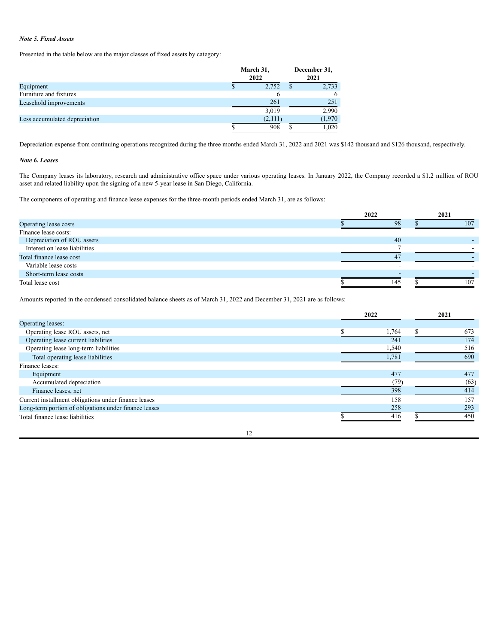## *Note 5. Fixed Assets*

Presented in the table below are the major classes of fixed assets by category:

|                               | March 31,<br>2022 | December 31,<br>2021 |         |  |
|-------------------------------|-------------------|----------------------|---------|--|
| Equipment                     | 2,752             |                      | 2,733   |  |
| Furniture and fixtures        | b                 |                      | 6       |  |
| Leasehold improvements        | 261               |                      | 251     |  |
|                               | 3,019             |                      | 2.990   |  |
| Less accumulated depreciation | (2,111)           |                      | (1.970) |  |
|                               | 908               |                      | 1,020   |  |

Depreciation expense from continuing operations recognized during the three months ended March 31, 2022 and 2021 was \$142 thousand and \$126 thousand, respectively.

## *Note 6. Leases*

The Company leases its laboratory, research and administrative office space under various operating leases. In January 2022, the Company recorded a \$1.2 million of ROU asset and related liability upon the signing of a new 5-year lease in San Diego, California.

The components of operating and finance lease expenses for the three-month periods ended March 31, are as follows:

|                               | 2022            | 2021 |
|-------------------------------|-----------------|------|
| Operating lease costs         | 98              | 107  |
| Finance lease costs:          |                 |      |
| Depreciation of ROU assets    | 40              |      |
| Interest on lease liabilities |                 |      |
| Total finance lease cost      |                 |      |
| Variable lease costs          |                 |      |
| Short-term lease costs        |                 |      |
| Total lease cost              | 14 <sup>5</sup> | 107  |

Amounts reported in the condensed consolidated balance sheets as of March 31, 2022 and December 31, 2021 are as follows:

|                                                       | 2022  | 2021 |
|-------------------------------------------------------|-------|------|
| Operating leases:                                     |       |      |
| Operating lease ROU assets, net                       | 1,764 | 673  |
| Operating lease current liabilities                   | 241   | 174  |
| Operating lease long-term liabilities                 | 1,540 | 516  |
| Total operating lease liabilities                     | 1,781 | 690  |
| Finance leases:                                       |       |      |
| Equipment                                             | 477   | 477  |
| Accumulated depreciation                              | (79)  | (63) |
| Finance leases, net                                   | 398   | 414  |
| Current installment obligations under finance leases  | 158   | 157  |
| Long-term portion of obligations under finance leases | 258   | 293  |
| Total finance lease liabilities                       | 416   | 450  |
|                                                       |       |      |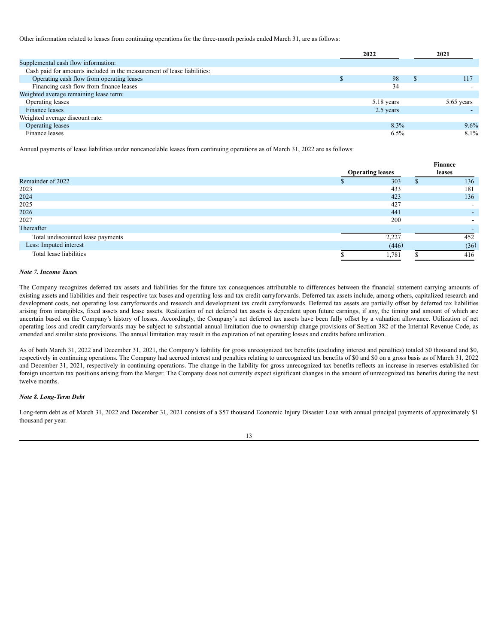Other information related to leases from continuing operations for the three-month periods ended March 31, are as follows:

|                                                                         | 2022       |    | 2021       |
|-------------------------------------------------------------------------|------------|----|------------|
| Supplemental cash flow information:                                     |            |    |            |
| Cash paid for amounts included in the measurement of lease liabilities: |            |    |            |
| Operating cash flow from operating leases                               | 98         | S. | 117        |
| Financing cash flow from finance leases                                 | 34         |    |            |
| Weighted average remaining lease term:                                  |            |    |            |
| Operating leases                                                        | 5.18 years |    | 5.65 years |
| Finance leases                                                          | 2.5 years  |    |            |
| Weighted average discount rate:                                         |            |    |            |
| Operating leases                                                        | 8.3%       |    | 9.6%       |
| Finance leases                                                          | 6.5%       |    | 8.1%       |

Annual payments of lease liabilities under noncancelable leases from continuing operations as of March 31, 2022 are as follows:

|                                   |                         | <b>Finance</b>           |
|-----------------------------------|-------------------------|--------------------------|
|                                   | <b>Operating leases</b> | leases                   |
| Remainder of 2022                 | 303                     | 136                      |
| 2023                              | 433                     | 181                      |
| 2024                              | 423                     | 136                      |
| 2025                              | 427                     |                          |
| 2026                              | 441                     | $\overline{\phantom{a}}$ |
| 2027                              | 200                     |                          |
| Thereafter                        |                         |                          |
| Total undiscounted lease payments | 2.227                   | 452                      |
| Less: Imputed interest            | (446)                   | (36)                     |
| Total lease liabilities           | 1,781                   | 416                      |

## *Note 7. Income Taxes*

The Company recognizes deferred tax assets and liabilities for the future tax consequences attributable to differences between the financial statement carrying amounts of existing assets and liabilities and their respective tax bases and operating loss and tax credit carryforwards. Deferred tax assets include, among others, capitalized research and development costs, net operating loss carryforwards and research and development tax credit carryforwards. Deferred tax assets are partially offset by deferred tax liabilities arising from intangibles, fixed assets and lease assets. Realization of net deferred tax assets is dependent upon future earnings, if any, the timing and amount of which are uncertain based on the Company's history of losses. Accordingly, the Company's net deferred tax assets have been fully offset by a valuation allowance. Utilization of net operating loss and credit carryforwards may be subject to substantial annual limitation due to ownership change provisions of Section 382 of the Internal Revenue Code, as amended and similar state provisions. The annual limitation may result in the expiration of net operating losses and credits before utilization.

As of both March 31, 2022 and December 31, 2021, the Company's liability for gross unrecognized tax benefits (excluding interest and penalties) totaled \$0 thousand and \$0, respectively in continuing operations. The Company had accrued interest and penalties relating to unrecognized tax benefits of \$0 and \$0 on a gross basis as of March 31, 2022 and December 31, 2021, respectively in continuing operations. The change in the liability for gross unrecognized tax benefits reflects an increase in reserves established for foreign uncertain tax positions arising from the Merger. The Company does not currently expect significant changes in the amount of unrecognized tax benefits during the next twelve months.

## *Note 8. Long-Term Debt*

Long-term debt as of March 31, 2022 and December 31, 2021 consists of a \$57 thousand Economic Injury Disaster Loan with annual principal payments of approximately \$1 thousand per year.

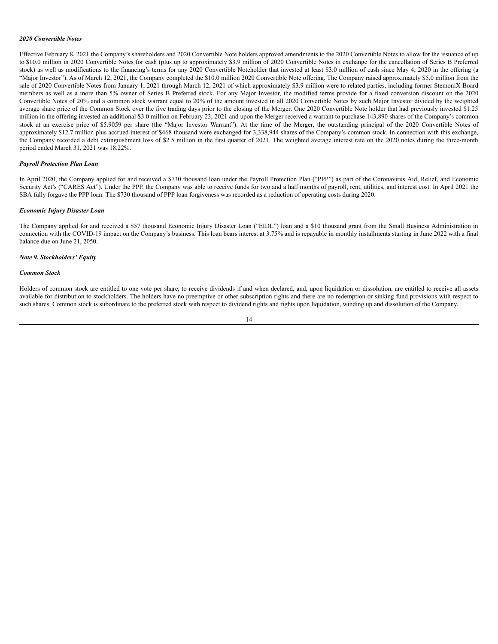#### *2020 Convertible Notes*

Effective February 8, 2021 the Company's shareholders and 2020 Convertible Note holders approved amendments to the 2020 Convertible Notes to allow for the issuance of up to \$10.0 million in 2020 Convertible Notes for cash (plus up to approximately \$3.9 million of 2020 Convertible Notes in exchange for the cancellation of Series B Preferred stock) as well as modifications to the financing's terms for any 2020 Convertible Noteholder that invested at least \$3.0 million of cash since May 4, 2020 in the offering (a "Major Investor"). As of March 12, 2021, the Company completed the \$10.0 million 2020 Convertible Note offering. The Company raised approximately \$5.0 million from the sale of 2020 Convertible Notes from January 1, 2021 through March 12, 2021 of which approximately \$3.9 million were to related parties, including former StemoniX Board members as well as a more than 5% owner of Series B Preferred stock. For any Major Investor, the modified terms provide for a fixed conversion discount on the 2020 Convertible Notes of 20% and a common stock warrant equal to 20% of the amount invested in all 2020 Convertible Notes by such Major Investor divided by the weighted average share price of the Common Stock over the five trading days prior to the closing of the Merger. One 2020 Convertible Note holder that had previously invested \$1.25 million in the offering invested an additional \$3.0 million on February 23, 2021 and upon the Merger received a warrant to purchase 143,890 shares of the Company's common stock at an exercise price of \$5.9059 per share (the "Major Investor Warrant"). At the time of the Merger, the outstanding principal of the 2020 Convertible Notes of approximately \$12.7 million plus accrued interest of \$468 thousand were exchanged for 3,338,944 shares of the Company's common stock. In connection with this exchange, the Company recorded a debt extinguishment loss of \$2.5 million in the first quarter of 2021. The weighted average interest rate on the 2020 notes during the three-month period ended March 31, 2021 was 18.22%.

#### *Payroll Protection Plan Loan*

In April 2020, the Company applied for and received a \$730 thousand loan under the Payroll Protection Plan ("PPP") as part of the Coronavirus Aid, Relief, and Economic Security Act's ("CARES Act"). Under the PPP, the Company was able to receive funds for two and a half months of payroll, rent, utilities, and interest cost. In April 2021 the SBA fully forgave the PPP loan. The \$730 thousand of PPP loan forgiveness was recorded as a reduction of operating costs during 2020.

#### *Economic Injury Disaster Loan*

The Company applied for and received a \$57 thousand Economic Injury Disaster Loan ("EIDL") loan and a \$10 thousand grant from the Small Business Administration in connection with the COVID-19 impact on the Company's business. This loan bears interest at 3.75% and is repayable in monthly installments starting in June 2022 with a final balance due on June 21, 2050.

#### *Note 9. Stockholders' Equity*

#### *Common Stock*

Holders of common stock are entitled to one vote per share, to receive dividends if and when declared, and, upon liquidation or dissolution, are entitled to receive all assets available for distribution to stockholders. The holders have no preemptive or other subscription rights and there are no redemption or sinking fund provisions with respect to such shares. Common stock is subordinate to the preferred stock with respect to dividend rights and rights upon liquidation, winding up and dissolution of the Company.

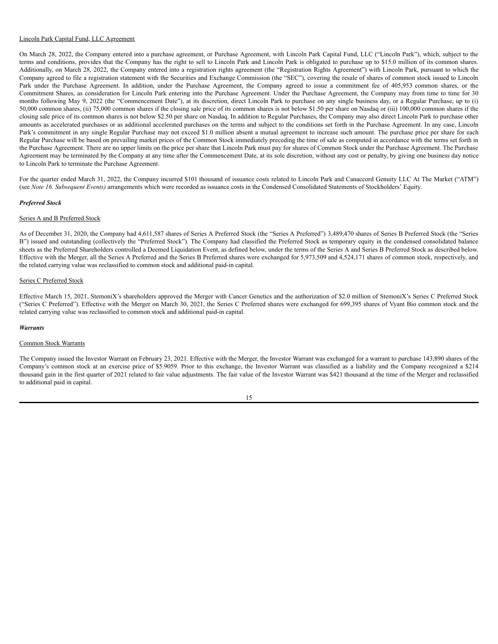#### Lincoln Park Capital Fund, LLC Agreement

On March 28, 2022, the Company entered into a purchase agreement, or Purchase Agreement, with Lincoln Park Capital Fund, LLC ("Lincoln Park"), which, subject to the terms and conditions, provides that the Company has the right to sell to Lincoln Park and Lincoln Park is obligated to purchase up to \$15.0 million of its common shares. Additionally, on March 28, 2022, the Company entered into a registration rights agreement (the "Registration Rights Agreement") with Lincoln Park, pursuant to which the Company agreed to file a registration statement with the Securities and Exchange Commission (the "SEC"), covering the resale of shares of common stock issued to Lincoln Park under the Purchase Agreement. In addition, under the Purchase Agreement, the Company agreed to issue a commitment fee of 405,953 common shares, or the Commitment Shares, as consideration for Lincoln Park entering into the Purchase Agreement. Under the Purchase Agreement, the Company may from time to time for 30 months following May 9, 2022 (the "Commencement Date"), at its discretion, direct Lincoln Park to purchase on any single business day, or a Regular Purchase, up to (i) 50,000 common shares, (ii) 75,000 common shares if the closing sale price of its common shares is not below \$1.50 per share on Nasdaq or (iii) 100,000 common shares if the closing sale price of its common shares is not below \$2.50 per share on Nasdaq. In addition to Regular Purchases, the Company may also direct Lincoln Park to purchase other amounts as accelerated purchases or as additional accelerated purchases on the terms and subject to the conditions set forth in the Purchase Agreement. In any case, Lincoln Park's commitment in any single Regular Purchase may not exceed \$1.0 million absent a mutual agreement to increase such amount. The purchase price per share for each Regular Purchase will be based on prevailing market prices of the Common Stock immediately preceding the time of sale as computed in accordance with the terms set forth in the Purchase Agreement. There are no upper limits on the price per share that Lincoln Park must pay for shares of Common Stock under the Purchase Agreement. The Purchase Agreement may be terminated by the Company at any time after the Commencement Date, at its sole discretion, without any cost or penalty, by giving one business day notice to Lincoln Park to terminate the Purchase Agreement.

For the quarter ended March 31, 2022, the Company incurred \$101 thousand of issuance costs related to Lincoln Park and Canaccord Genuity LLC At The Market ("ATM") (see *Note 16. Subsequent Events)* arrangements which were recorded as issuance costs in the Condensed Consolidated Statements of Stockholders' Equity.

## *Preferred Stock*

#### Series A and B Preferred Stock

As of December 31, 2020, the Company had 4,611,587 shares of Series A Preferred Stock (the "Series A Preferred") 3,489,470 shares of Series B Preferred Stock (the "Series B") issued and outstanding (collectively the "Preferred Stock"). The Company had classified the Preferred Stock as temporary equity in the condensed consolidated balance sheets as the Preferred Shareholders controlled a Deemed Liquidation Event, as defined below, under the terms of the Series A and Series B Preferred Stock as described below. Effective with the Merger, all the Series A Preferred and the Series B Preferred shares were exchanged for 5,973,509 and 4,524,171 shares of common stock, respectively, and the related carrying value was reclassified to common stock and additional paid-in capital.

#### Series C Preferred Stock

Effective March 15, 2021, StemoniX's shareholders approved the Merger with Cancer Genetics and the authorization of \$2.0 million of StemoniX's Series C Preferred Stock ("Series C Preferred"). Effective with the Merger on March 30, 2021, the Series C Preferred shares were exchanged for 699,395 shares of Vyant Bio common stock and the related carrying value was reclassified to common stock and additional paid-in capital.

#### *Warrants*

## Common Stock Warrants

The Company issued the Investor Warrant on February 23, 2021. Effective with the Merger, the Investor Warrant was exchanged for a warrant to purchase 143,890 shares of the Company's common stock at an exercise price of \$5.9059. Prior to this exchange, the Investor Warrant was classified as a liability and the Company recognized a \$214 thousand gain in the first quarter of 2021 related to fair value adjustments. The fair value of the Investor Warrant was \$421 thousand at the time of the Merger and reclassified to additional paid in capital.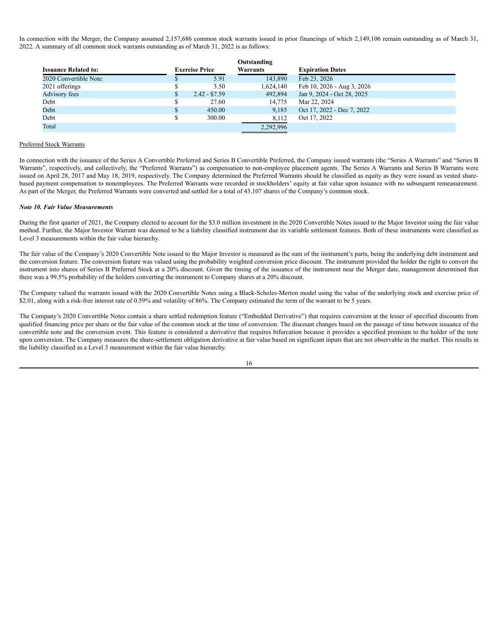In connection with the Merger, the Company assumed 2,157,686 common stock warrants issued in prior financings of which 2,149,106 remain outstanding as of March 31, 2022. A summary of all common stock warrants outstanding as of March 31, 2022 is as follows:

|                             |    |                       | Outstanding |                            |
|-----------------------------|----|-----------------------|-------------|----------------------------|
| <b>Issuance Related to:</b> |    | <b>Exercise Price</b> | Warrants    | <b>Expiration Dates</b>    |
| 2020 Convertible Note       |    | 5.91                  | 143,890     | Feb 23, 2026               |
| 2021 offerings              |    | 3.50                  | 1,624,140   | Feb 10, 2026 - Aug 3, 2026 |
| Advisory fees               | ۰D | $2.42 - $7.59$        | 492,894     | Jan 9, 2024 - Oct 28, 2025 |
| Debt                        |    | 27.60                 | 14,775      | Mar 22, 2024               |
| Debt                        | ٠D | 450.00                | 9.185       | Oct 17, 2022 - Dec 7, 2022 |
| Debt                        |    | 300.00                | 8.112       | Oct 17, 2022               |
| Total                       |    |                       | 2.292.996   |                            |

#### Preferred Stock Warrants

In connection with the issuance of the Series A Convertible Preferred and Series B Convertible Preferred, the Company issued warrants (the "Series A Warrants" and "Series B Warrants", respectively, and collectively, the "Preferred Warrants") as compensation to non-employee placement agents. The Series A Warrants and Series B Warrants were issued on April 28, 2017 and May 18, 2019, respectively. The Company determined the Preferred Warrants should be classified as equity as they were issued as vested sharebased payment compensation to nonemployees. The Preferred Warrants were recorded in stockholders' equity at fair value upon issuance with no subsequent remeasurement. As part of the Merger, the Preferred Warrants were converted and settled for a total of 43,107 shares of the Company's common stock.

## *Note 10. Fair Value Measurements*

During the first quarter of 2021, the Company elected to account for the \$3.0 million investment in the 2020 Convertible Notes issued to the Major Investor using the fair value method. Further, the Major Investor Warrant was deemed to be a liability classified instrument due its variable settlement features. Both of these instruments were classified as Level 3 measurements within the fair value hierarchy.

The fair value of the Company's 2020 Convertible Note issued to the Major Investor is measured as the sum of the instrument's parts, being the underlying debt instrument and the conversion feature. The conversion feature was valued using the probability weighted conversion price discount. The instrument provided the holder the right to convert the instrument into shares of Series B Preferred Stock at a 20% discount. Given the timing of the issuance of the instrument near the Merger date, management determined that there was a 99.5% probability of the holders converting the instrument to Company shares at a 20% discount.

The Company valued the warrants issued with the 2020 Convertible Notes using a Black-Scholes-Merton model using the value of the underlying stock and exercise price of \$2.01, along with a risk-free interest rate of 0.59% and volatility of 86%. The Company estimated the term of the warrant to be 5 years.

The Company's 2020 Convertible Notes contain a share settled redemption feature ("Embedded Derivative") that requires conversion at the lesser of specified discounts from qualified financing price per share or the fair value of the common stock at the time of conversion. The discount changes based on the passage of time between issuance of the convertible note and the conversion event. This feature is considered a derivative that requires bifurcation because it provides a specified premium to the holder of the note upon conversion. The Company measures the share-settlement obligation derivative at fair value based on significant inputs that are not observable in the market. This results in the liability classified as a Level 3 measurement within the fair value hierarchy.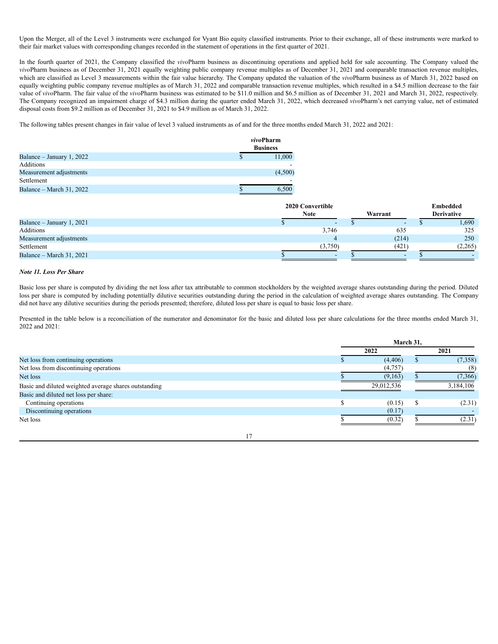Upon the Merger, all of the Level 3 instruments were exchanged for Vyant Bio equity classified instruments. Prior to their exchange, all of these instruments were marked to their fair market values with corresponding changes recorded in the statement of operations in the first quarter of 2021.

In the fourth quarter of 2021, the Company classified the *vivo*Pharm business as discontinuing operations and applied held for sale accounting. The Company valued the *vivo*Pharm business as of December 31, 2021 equally weighting public company revenue multiples as of December 31, 2021 and comparable transaction revenue multiples, which are classified as Level 3 measurements within the fair value hierarchy. The Company updated the valuation of the *vivo*Pharm business as of March 31, 2022 based on equally weighting public company revenue multiples as of March 31, 2022 and comparable transaction revenue multiples, which resulted in a \$4.5 million decrease to the fair value of *vivo*Pharm. The fair value of the *vivo*Pharm business was estimated to be \$11.0 million and \$6.5 million as of December 31, 2021 and March 31, 2022, respectively. The Company recognized an impairment charge of \$4.3 million during the quarter ended March 31, 2022, which decreased *vivo*Pharm's net carrying value, net of estimated disposal costs from \$9.2 million as of December 31, 2021 to \$4.9 million as of March 31, 2022.

The following tables present changes in fair value of level 3 valued instruments as of and for the three months ended March 31, 2022 and 2021:

|                           | vivoPharm<br><b>Business</b> |
|---------------------------|------------------------------|
| Balance – January 1, 2022 | 11,000                       |
| Additions                 |                              |
| Measurement adjustments   | (4,500)                      |
| Settlement                |                              |
| Balance – March 31, 2022  | 6.500                        |

|                           | 2020 Convertible<br><b>Note</b> | Warrant | <b>Embedded</b><br><b>Derivative</b> |
|---------------------------|---------------------------------|---------|--------------------------------------|
| Balance – January 1, 2021 | $\sim$                          | ٠       | .690                                 |
| <b>Additions</b>          | 3,746                           | 635     | 325                                  |
| Measurement adjustments   |                                 | (214)   | 250                                  |
| Settlement                | (3,750)                         | (421)   | (2,265)                              |
| Balance – March 31, 2021  | -                               | -       |                                      |

## *Note 11. Loss Per Share*

Basic loss per share is computed by dividing the net loss after tax attributable to common stockholders by the weighted average shares outstanding during the period. Diluted loss per share is computed by including potentially dilutive securities outstanding during the period in the calculation of weighted average shares outstanding. The Company did not have any dilutive securities during the periods presented; therefore, diluted loss per share is equal to basic loss per share.

Presented in the table below is a reconciliation of the numerator and denominator for the basic and diluted loss per share calculations for the three months ended March 31, 2022 and 2021:

| March 31, |            |  |           |
|-----------|------------|--|-----------|
|           | 2022       |  | 2021      |
|           | (4,406)    |  | (7,358)   |
|           | (4,757)    |  | (8)       |
|           | (9,163)    |  | (7,366)   |
|           | 29,012,536 |  | 3,184,106 |
|           |            |  |           |
|           | (0.15)     |  | (2.31)    |
|           | (0.17)     |  |           |
|           | (0.32)     |  | (2.31)    |
|           |            |  |           |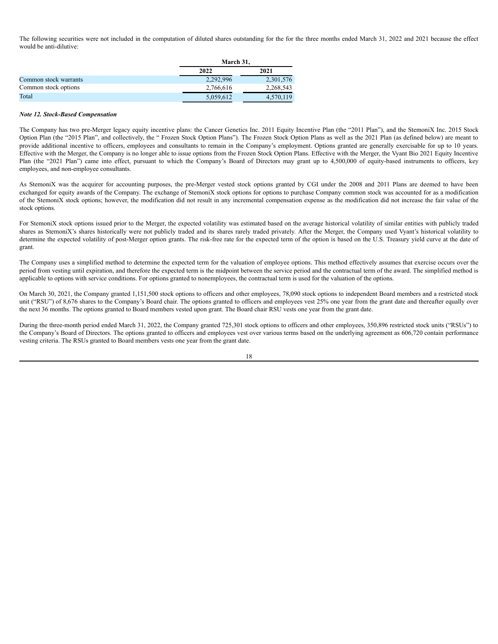The following securities were not included in the computation of diluted shares outstanding for the for the three months ended March 31, 2022 and 2021 because the effect would be anti-dilutive:

|                       |           | March 31. |  |  |  |
|-----------------------|-----------|-----------|--|--|--|
|                       | 2022      | 2021      |  |  |  |
| Common stock warrants | 2,292,996 | 2,301,576 |  |  |  |
| Common stock options  | 2,766,616 | 2,268,543 |  |  |  |
| Total                 | 5,059,612 | 4.570.119 |  |  |  |

#### *Note 12. Stock-Based Compensation*

The Company has two pre-Merger legacy equity incentive plans: the Cancer Genetics Inc. 2011 Equity Incentive Plan (the "2011 Plan"), and the StemoniX Inc. 2015 Stock Option Plan (the "2015 Plan", and collectively, the " Frozen Stock Option Plans"). The Frozen Stock Option Plans as well as the 2021 Plan (as defined below) are meant to provide additional incentive to officers, employees and consultants to remain in the Company's employment. Options granted are generally exercisable for up to 10 years. Effective with the Merger, the Company is no longer able to issue options from the Frozen Stock Option Plans. Effective with the Merger, the Vyant Bio 2021 Equity Incentive Plan (the "2021 Plan") came into effect, pursuant to which the Company's Board of Directors may grant up to 4,500,000 of equity-based instruments to officers, key employees, and non-employee consultants.

As StemoniX was the acquirer for accounting purposes, the pre-Merger vested stock options granted by CGI under the 2008 and 2011 Plans are deemed to have been exchanged for equity awards of the Company. The exchange of StemoniX stock options for options to purchase Company common stock was accounted for as a modification of the StemoniX stock options; however, the modification did not result in any incremental compensation expense as the modification did not increase the fair value of the stock options.

For StemoniX stock options issued prior to the Merger, the expected volatility was estimated based on the average historical volatility of similar entities with publicly traded shares as StemoniX's shares historically were not publicly traded and its shares rarely traded privately. After the Merger, the Company used Vyant's historical volatility to determine the expected volatility of post-Merger option grants. The risk-free rate for the expected term of the option is based on the U.S. Treasury yield curve at the date of grant.

The Company uses a simplified method to determine the expected term for the valuation of employee options. This method effectively assumes that exercise occurs over the period from vesting until expiration, and therefore the expected term is the midpoint between the service period and the contractual term of the award. The simplified method is applicable to options with service conditions. For options granted to nonemployees, the contractual term is used for the valuation of the options.

On March 30, 2021, the Company granted 1,151,500 stock options to officers and other employees, 78,090 stock options to independent Board members and a restricted stock unit ("RSU") of 8,676 shares to the Company's Board chair. The options granted to officers and employees vest 25% one year from the grant date and thereafter equally over the next 36 months. The options granted to Board members vested upon grant. The Board chair RSU vests one year from the grant date.

During the three-month period ended March 31, 2022, the Company granted 725,301 stock options to officers and other employees, 350,896 restricted stock units ("RSUs") to the Company's Board of Directors. The options granted to officers and employees vest over various terms based on the underlying agreement as 606,720 contain performance vesting criteria. The RSUs granted to Board members vests one year from the grant date.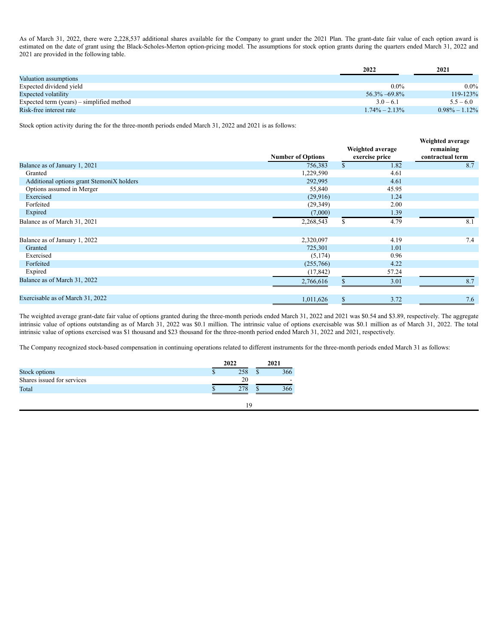As of March 31, 2022, there were 2,228,537 additional shares available for the Company to grant under the 2021 Plan. The grant-date fair value of each option award is estimated on the date of grant using the Black-Scholes-Merton option-pricing model. The assumptions for stock option grants during the quarters ended March 31, 2022 and 2021 are provided in the following table.

|                                             | 2022              | 2021              |
|---------------------------------------------|-------------------|-------------------|
| Valuation assumptions                       |                   |                   |
| Expected dividend yield                     | $0.0\%$           | $0.0\%$           |
| <b>Expected volatility</b>                  | $56.3\% - 69.8\%$ | 119-123%          |
| Expected term $(years)$ – simplified method | $3.0 - 6.1$       | $5.5 - 6.0$       |
| Risk-free interest rate                     | $1.74\% - 2.13\%$ | $0.98\% - 1.12\%$ |

**Weighted average**

Stock option activity during the for the three-month periods ended March 31, 2022 and 2021 is as follows:

| <b>Number of Options</b> |                        |       | Weighted average<br>remaining<br>contractual term  |
|--------------------------|------------------------|-------|----------------------------------------------------|
| 756,383                  |                        | 1.82  | 8.7                                                |
| 1,229,590                |                        | 4.61  |                                                    |
| 292,995                  |                        | 4.61  |                                                    |
| 55,840                   |                        | 45.95 |                                                    |
| (29,916)                 |                        | 1.24  |                                                    |
| (29, 349)                |                        | 2.00  |                                                    |
| (7,000)                  |                        | 1.39  |                                                    |
| 2,268,543                |                        | 4.79  | 8.1                                                |
|                          |                        |       |                                                    |
|                          |                        |       | 7.4                                                |
| 725,301                  |                        | 1.01  |                                                    |
| (5,174)                  |                        | 0.96  |                                                    |
| (255,766)                |                        | 4.22  |                                                    |
| (17, 842)                |                        | 57.24 |                                                    |
| 2,766,616                |                        | 3.01  | 8.7                                                |
|                          |                        |       | 7.6                                                |
|                          | 2,320,097<br>1,011,626 | \$    | Weighted average<br>exercise price<br>4.19<br>3.72 |

The weighted average grant-date fair value of options granted during the three-month periods ended March 31, 2022 and 2021 was \$0.54 and \$3.89, respectively. The aggregate intrinsic value of options outstanding as of March 31, 2022 was \$0.1 million. The intrinsic value of options exercisable was \$0.1 million as of March 31, 2022. The total intrinsic value of options exercised was \$1 thousand and \$23 thousand for the three-month period ended March 31, 2022 and 2021, respectively.

The Company recognized stock-based compensation in continuing operations related to different instruments for the three-month periods ended March 31 as follows:

|                            | 2022 |     | 2021 |     |
|----------------------------|------|-----|------|-----|
| Stock options              | ۰D   | 258 | œ    | 366 |
| Shares issued for services |      | 20  |      | -   |
| Total                      |      | 278 |      | 366 |
|                            |      |     |      |     |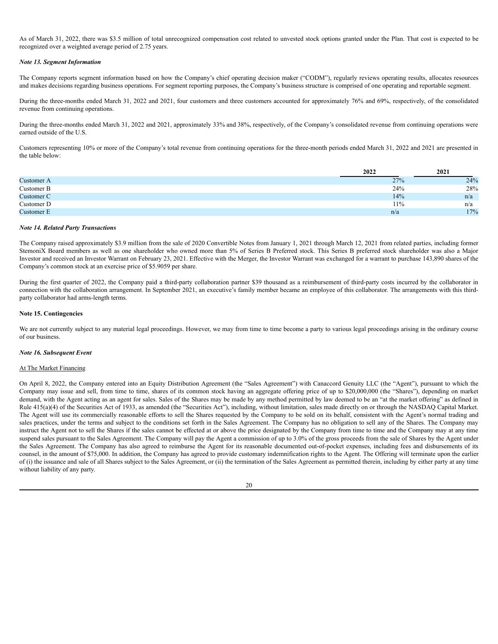As of March 31, 2022, there was \$3.5 million of total unrecognized compensation cost related to unvested stock options granted under the Plan. That cost is expected to be recognized over a weighted average period of 2.75 years.

## *Note 13. Segment Information*

The Company reports segment information based on how the Company's chief operating decision maker ("CODM"), regularly reviews operating results, allocates resources and makes decisions regarding business operations. For segment reporting purposes, the Company's business structure is comprised of one operating and reportable segment.

During the three-months ended March 31, 2022 and 2021, four customers and three customers accounted for approximately 76% and 69%, respectively, of the consolidated revenue from continuing operations.

During the three-months ended March 31, 2022 and 2021, approximately 33% and 38%, respectively, of the Company's consolidated revenue from continuing operations were earned outside of the U.S.

Customers representing 10% or more of the Company's total revenue from continuing operations for the three-month periods ended March 31, 2022 and 2021 are presented in the table below:

| 27%<br><b>Customer A</b><br>24%<br>Customer B |     |
|-----------------------------------------------|-----|
|                                               | 24% |
|                                               | 28% |
| 14%<br>Customer C<br>n/a                      |     |
| 11%<br>Customer D<br>n/a                      |     |
| Customer E<br>n/a                             | 17% |

#### *Note 14. Related Party Transactions*

The Company raised approximately \$3.9 million from the sale of 2020 Convertible Notes from January 1, 2021 through March 12, 2021 from related parties, including former StemoniX Board members as well as one shareholder who owned more than 5% of Series B Preferred stock. This Series B preferred stock shareholder was also a Major Investor and received an Investor Warrant on February 23, 2021. Effective with the Merger, the Investor Warrant was exchanged for a warrant to purchase 143,890 shares of the Company's common stock at an exercise price of \$5.9059 per share.

During the first quarter of 2022, the Company paid a third-party collaboration partner \$39 thousand as a reimbursement of third-party costs incurred by the collaborator in connection with the collaboration arrangement. In September 2021, an executive's family member became an employee of this collaborator. The arrangements with this thirdparty collaborator had arms-length terms.

## **Note 15. Contingencies**

We are not currently subject to any material legal proceedings. However, we may from time to time become a party to various legal proceedings arising in the ordinary course of our business.

## *Note 16. Subsequent Event*

#### At The Market Financing

On April 8, 2022, the Company entered into an Equity Distribution Agreement (the "Sales Agreement") with Canaccord Genuity LLC (the "Agent"), pursuant to which the Company may issue and sell, from time to time, shares of its common stock having an aggregate offering price of up to \$20,000,000 (the "Shares"), depending on market demand, with the Agent acting as an agent for sales. Sales of the Shares may be made by any method permitted by law deemed to be an "at the market offering" as defined in Rule 415(a)(4) of the Securities Act of 1933, as amended (the "Securities Act"), including, without limitation, sales made directly on or through the NASDAQ Capital Market. The Agent will use its commercially reasonable efforts to sell the Shares requested by the Company to be sold on its behalf, consistent with the Agent's normal trading and sales practices, under the terms and subject to the conditions set forth in the Sales Agreement. The Company has no obligation to sell any of the Shares. The Company may instruct the Agent not to sell the Shares if the sales cannot be effected at or above the price designated by the Company from time to time and the Company may at any time suspend sales pursuant to the Sales Agreement. The Company will pay the Agent a commission of up to 3.0% of the gross proceeds from the sale of Shares by the Agent under the Sales Agreement. The Company has also agreed to reimburse the Agent for its reasonable documented out-of-pocket expenses, including fees and disbursements of its counsel, in the amount of \$75,000. In addition, the Company has agreed to provide customary indemnification rights to the Agent. The Offering will terminate upon the earlier of (i) the issuance and sale of all Shares subject to the Sales Agreement, or (ii) the termination of the Sales Agreement as permitted therein, including by either party at any time without liability of any party.

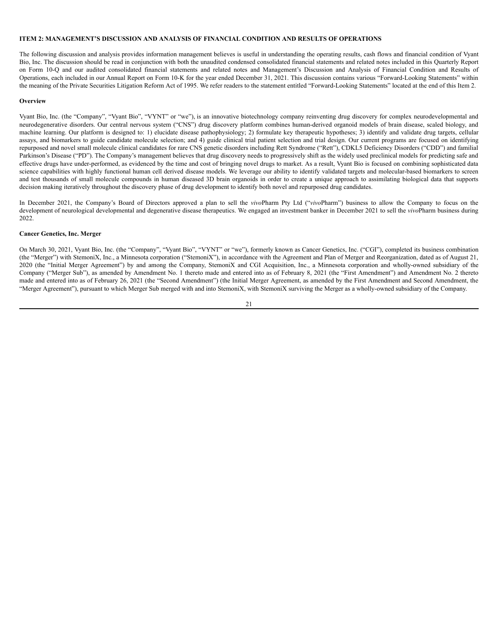#### <span id="page-20-0"></span>**ITEM 2: MANAGEMENT'S DISCUSSION AND ANALYSIS OF FINANCIAL CONDITION AND RESULTS OF OPERATIONS**

The following discussion and analysis provides information management believes is useful in understanding the operating results, cash flows and financial condition of Vyant Bio, Inc. The discussion should be read in conjunction with both the unaudited condensed consolidated financial statements and related notes included in this Quarterly Report on Form 10-Q and our audited consolidated financial statements and related notes and Management's Discussion and Analysis of Financial Condition and Results of Operations, each included in our Annual Report on Form 10-K for the year ended December 31, 2021. This discussion contains various "Forward-Looking Statements" within the meaning of the Private Securities Litigation Reform Act of 1995. We refer readers to the statement entitled "Forward-Looking Statements" located at the end of this Item 2.

#### **Overview**

Vyant Bio, Inc. (the "Company", "Vyant Bio", "VYNT" or "we"), is an innovative biotechnology company reinventing drug discovery for complex neurodevelopmental and neurodegenerative disorders. Our central nervous system ("CNS") drug discovery platform combines human-derived organoid models of brain disease, scaled biology, and machine learning. Our platform is designed to: 1) elucidate disease pathophysiology; 2) formulate key therapeutic hypotheses; 3) identify and validate drug targets, cellular assays, and biomarkers to guide candidate molecule selection; and 4) guide clinical trial patient selection and trial design. Our current programs are focused on identifying repurposed and novel small molecule clinical candidates for rare CNS genetic disorders including Rett Syndrome ("Rett"), CDKL5 Deficiency Disorders ("CDD") and familial Parkinson's Disease ("PD"). The Company's management believes that drug discovery needs to progressively shift as the widely used preclinical models for predicting safe and effective drugs have under-performed, as evidenced by the time and cost of bringing novel drugs to market. As a result, Vyant Bio is focused on combining sophisticated data science capabilities with highly functional human cell derived disease models. We leverage our ability to identify validated targets and molecular-based biomarkers to screen and test thousands of small molecule compounds in human diseased 3D brain organoids in order to create a unique approach to assimilating biological data that supports decision making iteratively throughout the discovery phase of drug development to identify both novel and repurposed drug candidates.

In December 2021, the Company's Board of Directors approved a plan to sell the *vivo*Pharm Pty Ltd ("*vivo*Pharm") business to allow the Company to focus on the development of neurological developmental and degenerative disease therapeutics. We engaged an investment banker in December 2021 to sell the *vivo*Pharm business during 2022

## **Cancer Genetics, Inc. Merger**

On March 30, 2021, Vyant Bio, Inc. (the "Company", "Vyant Bio", "VYNT" or "we"), formerly known as Cancer Genetics, Inc. ("CGI"), completed its business combination (the "Merger") with StemoniX, Inc., a Minnesota corporation ("StemoniX"), in accordance with the Agreement and Plan of Merger and Reorganization, dated as of August 21, 2020 (the "Initial Merger Agreement") by and among the Company, StemoniX and CGI Acquisition, Inc., a Minnesota corporation and wholly-owned subsidiary of the Company ("Merger Sub"), as amended by Amendment No. 1 thereto made and entered into as of February 8, 2021 (the "First Amendment") and Amendment No. 2 thereto made and entered into as of February 26, 2021 (the "Second Amendment") (the Initial Merger Agreement, as amended by the First Amendment and Second Amendment, the "Merger Agreement"), pursuant to which Merger Sub merged with and into StemoniX, with StemoniX surviving the Merger as a wholly-owned subsidiary of the Company.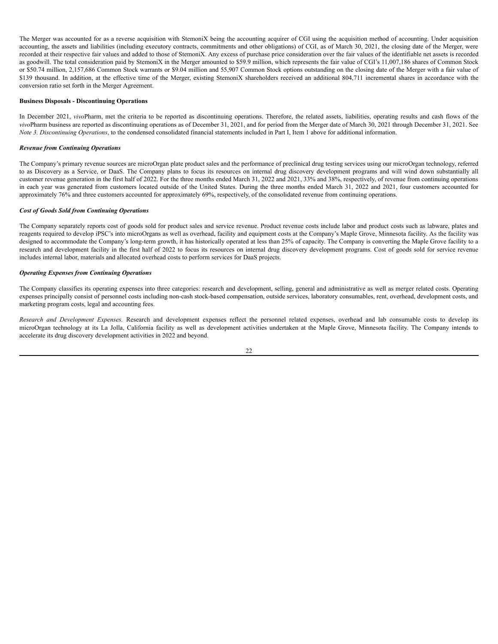The Merger was accounted for as a reverse acquisition with StemoniX being the accounting acquirer of CGI using the acquisition method of accounting. Under acquisition accounting, the assets and liabilities (including executory contracts, commitments and other obligations) of CGI, as of March 30, 2021, the closing date of the Merger, were recorded at their respective fair values and added to those of StemoniX. Any excess of purchase price consideration over the fair values of the identifiable net assets is recorded as goodwill. The total consideration paid by StemoniX in the Merger amounted to \$59.9 million, which represents the fair value of CGI's 11,007,186 shares of Common Stock or \$50.74 million, 2,157,686 Common Stock warrants or \$9.04 million and 55,907 Common Stock options outstanding on the closing date of the Merger with a fair value of \$139 thousand. In addition, at the effective time of the Merger, existing StemoniX shareholders received an additional 804,711 incremental shares in accordance with the conversion ratio set forth in the Merger Agreement.

#### **Business Disposals - Discontinuing Operations**

In December 2021, *vivo*Pharm, met the criteria to be reported as discontinuing operations. Therefore, the related assets, liabilities, operating results and cash flows of the *vivo*Pharm business are reported as discontinuing operations as of December 31, 2021, and for period from the Merger date of March 30, 2021 through December 31, 2021. See *Note 3. Discontinuing Operations*, to the condensed consolidated financial statements included in Part I, Item 1 above for additional information.

#### *Revenue from Continuing Operations*

The Company's primary revenue sources are microOrgan plate product sales and the performance of preclinical drug testing services using our microOrgan technology, referred to as Discovery as a Service, or DaaS. The Company plans to focus its resources on internal drug discovery development programs and will wind down substantially all customer revenue generation in the first half of 2022. For the three months ended March 31, 2022 and 2021, 33% and 38%, respectively, of revenue from continuing operations in each year was generated from customers located outside of the United States. During the three months ended March 31, 2022 and 2021, four customers accounted for approximately 76% and three customers accounted for approximately 69%, respectively, of the consolidated revenue from continuing operations.

#### *Cost of Goods Sold from Continuing Operations*

The Company separately reports cost of goods sold for product sales and service revenue. Product revenue costs include labor and product costs such as labware, plates and reagents required to develop iPSC's into microOrgans as well as overhead, facility and equipment costs at the Company's Maple Grove, Minnesota facility. As the facility was designed to accommodate the Company's long-term growth, it has historically operated at less than 25% of capacity. The Company is converting the Maple Grove facility to a research and development facility in the first half of 2022 to focus its resources on internal drug discovery development programs. Cost of goods sold for service revenue includes internal labor, materials and allocated overhead costs to perform services for DaaS projects.

#### *Operating Expenses from Continuing Operations*

The Company classifies its operating expenses into three categories: research and development, selling, general and administrative as well as merger related costs. Operating expenses principally consist of personnel costs including non-cash stock-based compensation, outside services, laboratory consumables, rent, overhead, development costs, and marketing program costs, legal and accounting fees.

*Research and Development Expenses.* Research and development expenses reflect the personnel related expenses, overhead and lab consumable costs to develop its microOrgan technology at its La Jolla, California facility as well as development activities undertaken at the Maple Grove, Minnesota facility. The Company intends to accelerate its drug discovery development activities in 2022 and beyond.

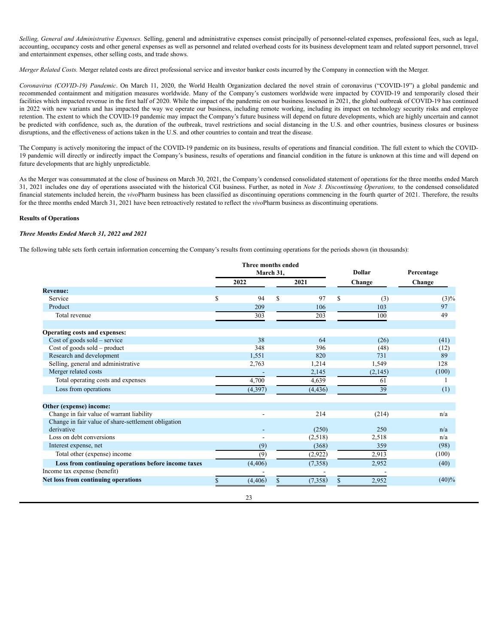*Selling, General and Administrative Expenses.* Selling, general and administrative expenses consist principally of personnel-related expenses, professional fees, such as legal, accounting, occupancy costs and other general expenses as well as personnel and related overhead costs for its business development team and related support personnel, travel and entertainment expenses, other selling costs, and trade shows.

*Merger Related Costs.* Merger related costs are direct professional service and investor banker costs incurred by the Company in connection with the Merger.

*Coronavirus (COVID-19) Pandemic*. On March 11, 2020, the World Health Organization declared the novel strain of coronavirus ("COVID-19") a global pandemic and recommended containment and mitigation measures worldwide. Many of the Company's customers worldwide were impacted by COVID-19 and temporarily closed their facilities which impacted revenue in the first half of 2020. While the impact of the pandemic on our business lessened in 2021, the global outbreak of COVID-19 has continued in 2022 with new variants and has impacted the way we operate our business, including remote working, including its impact on technology security risks and employee retention. The extent to which the COVID-19 pandemic may impact the Company's future business will depend on future developments, which are highly uncertain and cannot be predicted with confidence, such as, the duration of the outbreak, travel restrictions and social distancing in the U.S. and other countries, business closures or business disruptions, and the effectiveness of actions taken in the U.S. and other countries to contain and treat the disease.

The Company is actively monitoring the impact of the COVID-19 pandemic on its business, results of operations and financial condition. The full extent to which the COVID-19 pandemic will directly or indirectly impact the Company's business, results of operations and financial condition in the future is unknown at this time and will depend on future developments that are highly unpredictable.

As the Merger was consummated at the close of business on March 30, 2021, the Company's condensed consolidated statement of operations for the three months ended March 31, 2021 includes one day of operations associated with the historical CGI business. Further, as noted in *Note 3. Discontinuing Operations,* to the condensed consolidated financial statements included herein, the *vivo*Pharm business has been classified as discontinuing operations commencing in the fourth quarter of 2021. Therefore, the results for the three months ended March 31, 2021 have been retroactively restated to reflect the *vivo*Pharm business as discontinuing operations.

## **Results of Operations**

## *Three Months Ended March 31, 2022 and 2021*

The following table sets forth certain information concerning the Company's results from continuing operations for the periods shown (in thousands):

|                                                     | <b>Three months ended</b><br>March 31, |          | <b>Dollar</b> |          | Percentage |         |         |  |
|-----------------------------------------------------|----------------------------------------|----------|---------------|----------|------------|---------|---------|--|
|                                                     |                                        | 2022     | 2021          |          |            | Change  | Change  |  |
| <b>Revenue:</b>                                     |                                        |          |               |          |            |         |         |  |
| Service                                             | \$                                     | 94       | \$            | 97       | S          | (3)     | $(3)\%$ |  |
| Product                                             |                                        | 209      |               | 106      |            | 103     | 97      |  |
| Total revenue                                       |                                        | 303      |               | 203      |            | 100     | 49      |  |
| Operating costs and expenses:                       |                                        |          |               |          |            |         |         |  |
| Cost of goods sold $-$ service                      |                                        | 38       |               | 64       |            | (26)    | (41)    |  |
| Cost of goods $sold$ – product                      |                                        | 348      |               | 396      |            | (48)    | (12)    |  |
| Research and development                            |                                        | 1,551    |               | 820      |            | 731     | 89      |  |
| Selling, general and administrative                 |                                        | 2,763    |               | 1,214    |            | 1,549   | 128     |  |
| Merger related costs                                |                                        |          |               | 2,145    |            | (2,145) | (100)   |  |
| Total operating costs and expenses                  |                                        | 4,700    |               | 4,639    |            | 61      |         |  |
| Loss from operations                                |                                        | (4, 397) |               | (4, 436) |            | 39      | (1)     |  |
| Other (expense) income:                             |                                        |          |               |          |            |         |         |  |
| Change in fair value of warrant liability           |                                        |          |               | 214      |            | (214)   | n/a     |  |
| Change in fair value of share-settlement obligation |                                        |          |               |          |            |         |         |  |
| derivative                                          |                                        |          |               | (250)    |            | 250     | n/a     |  |
| Loss on debt conversions                            |                                        |          |               | (2,518)  |            | 2,518   | n/a     |  |
| Interest expense, net                               |                                        | (9)      |               | (368)    |            | 359     | (98)    |  |
| Total other (expense) income                        |                                        | (9)      |               | (2,922)  |            | 2,913   | (100)   |  |
| Loss from continuing operations before income taxes |                                        | (4, 406) |               | (7, 358) |            | 2,952   | (40)    |  |
| Income tax expense (benefit)                        |                                        |          |               |          |            |         |         |  |
| Net loss from continuing operations                 |                                        | (4, 406) |               | (7,358)  | \$         | 2,952   | (40)%   |  |

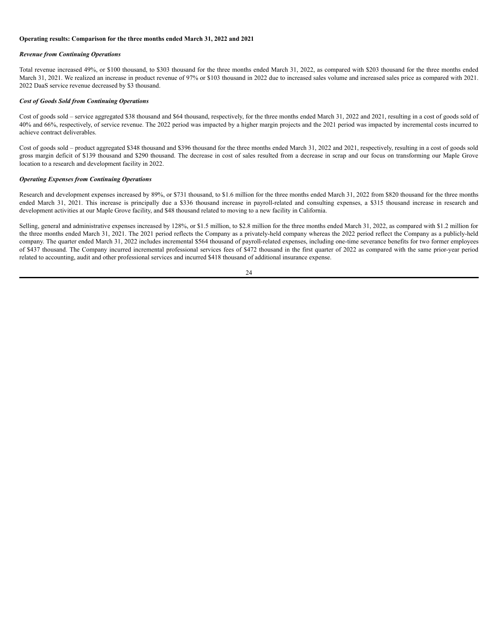#### **Operating results: Comparison for the three months ended March 31, 2022 and 2021**

#### *Revenue from Continuing Operations*

Total revenue increased 49%, or \$100 thousand, to \$303 thousand for the three months ended March 31, 2022, as compared with \$203 thousand for the three months ended March 31, 2021. We realized an increase in product revenue of 97% or \$103 thousand in 2022 due to increased sales volume and increased sales price as compared with 2021. 2022 DaaS service revenue decreased by \$3 thousand.

#### *Cost of Goods Sold from Continuing Operations*

Cost of goods sold – service aggregated \$38 thousand and \$64 thousand, respectively, for the three months ended March 31, 2022 and 2021, resulting in a cost of goods sold of 40% and 66%, respectively, of service revenue. The 2022 period was impacted by a higher margin projects and the 2021 period was impacted by incremental costs incurred to achieve contract deliverables.

Cost of goods sold – product aggregated \$348 thousand and \$396 thousand for the three months ended March 31, 2022 and 2021, respectively, resulting in a cost of goods sold gross margin deficit of \$139 thousand and \$290 thousand. The decrease in cost of sales resulted from a decrease in scrap and our focus on transforming our Maple Grove location to a research and development facility in 2022.

## *Operating Expenses from Continuing Operations*

Research and development expenses increased by 89%, or \$731 thousand, to \$1.6 million for the three months ended March 31, 2022 from \$820 thousand for the three months ended March 31, 2021. This increase is principally due a \$336 thousand increase in payroll-related and consulting expenses, a \$315 thousand increase in research and development activities at our Maple Grove facility, and \$48 thousand related to moving to a new facility in California.

Selling, general and administrative expenses increased by 128%, or \$1.5 million, to \$2.8 million for the three months ended March 31, 2022, as compared with \$1.2 million for the three months ended March 31, 2021. The 2021 period reflects the Company as a privately-held company whereas the 2022 period reflect the Company as a publicly-held company. The quarter ended March 31, 2022 includes incremental \$564 thousand of payroll-related expenses, including one-time severance benefits for two former employees of \$437 thousand. The Company incurred incremental professional services fees of \$472 thousand in the first quarter of 2022 as compared with the same prior-year period related to accounting, audit and other professional services and incurred \$418 thousand of additional insurance expense.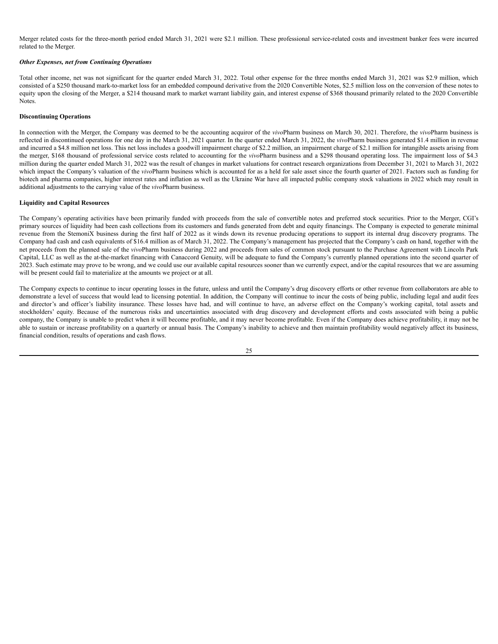Merger related costs for the three-month period ended March 31, 2021 were \$2.1 million. These professional service-related costs and investment banker fees were incurred related to the Merger.

## *Other Expenses, net from Continuing Operations*

Total other income, net was not significant for the quarter ended March 31, 2022. Total other expense for the three months ended March 31, 2021 was \$2.9 million, which consisted of a \$250 thousand mark-to-market loss for an embedded compound derivative from the 2020 Convertible Notes, \$2.5 million loss on the conversion of these notes to equity upon the closing of the Merger, a \$214 thousand mark to market warrant liability gain, and interest expense of \$368 thousand primarily related to the 2020 Convertible **Notes**.

#### **Discontinuing Operations**

In connection with the Merger, the Company was deemed to be the accounting acquiror of the *vivo*Pharm business on March 30, 2021. Therefore, the *vivo*Pharm business is reflected in discontinued operations for one day in the March 31, 2021 quarter. In the quarter ended March 31, 2022, the *vivo*Pharm business generated \$1.4 million in revenue and incurred a \$4.8 million net loss. This net loss includes a goodwill impairment charge of \$2.2 million, an impairment charge of \$2.1 million for intangible assets arising from the merger, \$168 thousand of professional service costs related to accounting for the *vivo*Pharm business and a \$298 thousand operating loss. The impairment loss of \$4.3 million during the quarter ended March 31, 2022 was the result of changes in market valuations for contract research organizations from December 31, 2021 to March 31, 2022 which impact the Company's valuation of the *vivoPharm* business which is accounted for as a held for sale asset since the fourth quarter of 2021. Factors such as funding for biotech and pharma companies, higher interest rates and inflation as well as the Ukraine War have all impacted public company stock valuations in 2022 which may result in additional adjustments to the carrying value of the *vivo*Pharm business.

#### **Liquidity and Capital Resources**

The Company's operating activities have been primarily funded with proceeds from the sale of convertible notes and preferred stock securities. Prior to the Merger, CGI's primary sources of liquidity had been cash collections from its customers and funds generated from debt and equity financings. The Company is expected to generate minimal revenue from the StemoniX business during the first half of 2022 as it winds down its revenue producing operations to support its internal drug discovery programs. The Company had cash and cash equivalents of \$16.4 million as of March 31, 2022. The Company's management has projected that the Company's cash on hand, together with the net proceeds from the planned sale of the *vivo*Pharm business during 2022 and proceeds from sales of common stock pursuant to the Purchase Agreement with Lincoln Park Capital, LLC as well as the at-the-market financing with Canaccord Genuity, will be adequate to fund the Company's currently planned operations into the second quarter of 2023. Such estimate may prove to be wrong, and we could use our available capital resources sooner than we currently expect, and/or the capital resources that we are assuming will be present could fail to materialize at the amounts we project or at all.

The Company expects to continue to incur operating losses in the future, unless and until the Company's drug discovery efforts or other revenue from collaborators are able to demonstrate a level of success that would lead to licensing potential. In addition, the Company will continue to incur the costs of being public, including legal and audit fees and director's and officer's liability insurance. These losses have had, and will continue to have, an adverse effect on the Company's working capital, total assets and stockholders' equity. Because of the numerous risks and uncertainties associated with drug discovery and development efforts and costs associated with being a public company, the Company is unable to predict when it will become profitable, and it may never become profitable. Even if the Company does achieve profitability, it may not be able to sustain or increase profitability on a quarterly or annual basis. The Company's inability to achieve and then maintain profitability would negatively affect its business, financial condition, results of operations and cash flows.

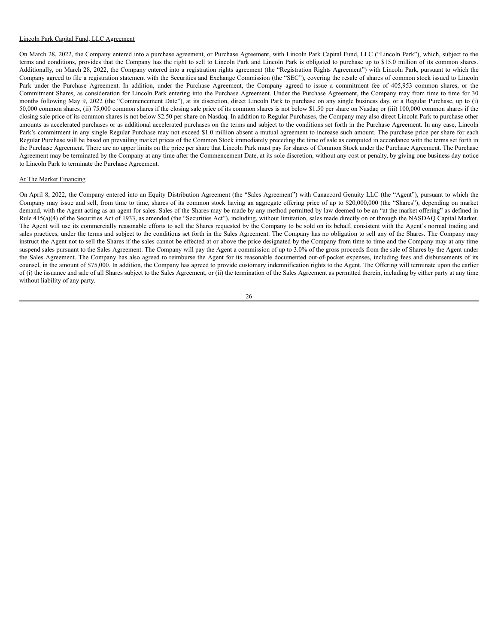#### Lincoln Park Capital Fund, LLC Agreement

On March 28, 2022, the Company entered into a purchase agreement, or Purchase Agreement, with Lincoln Park Capital Fund, LLC ("Lincoln Park"), which, subject to the terms and conditions, provides that the Company has the right to sell to Lincoln Park and Lincoln Park is obligated to purchase up to \$15.0 million of its common shares. Additionally, on March 28, 2022, the Company entered into a registration rights agreement (the "Registration Rights Agreement") with Lincoln Park, pursuant to which the Company agreed to file a registration statement with the Securities and Exchange Commission (the "SEC"), covering the resale of shares of common stock issued to Lincoln Park under the Purchase Agreement. In addition, under the Purchase Agreement, the Company agreed to issue a commitment fee of 405,953 common shares, or the Commitment Shares, as consideration for Lincoln Park entering into the Purchase Agreement. Under the Purchase Agreement, the Company may from time to time for 30 months following May 9, 2022 (the "Commencement Date"), at its discretion, direct Lincoln Park to purchase on any single business day, or a Regular Purchase, up to (i) 50,000 common shares, (ii) 75,000 common shares if the closing sale price of its common shares is not below \$1.50 per share on Nasdaq or (iii) 100,000 common shares if the closing sale price of its common shares is not below \$2.50 per share on Nasdaq. In addition to Regular Purchases, the Company may also direct Lincoln Park to purchase other amounts as accelerated purchases or as additional accelerated purchases on the terms and subject to the conditions set forth in the Purchase Agreement. In any case, Lincoln Park's commitment in any single Regular Purchase may not exceed \$1.0 million absent a mutual agreement to increase such amount. The purchase price per share for each Regular Purchase will be based on prevailing market prices of the Common Stock immediately preceding the time of sale as computed in accordance with the terms set forth in the Purchase Agreement. There are no upper limits on the price per share that Lincoln Park must pay for shares of Common Stock under the Purchase Agreement. The Purchase Agreement may be terminated by the Company at any time after the Commencement Date, at its sole discretion, without any cost or penalty, by giving one business day notice to Lincoln Park to terminate the Purchase Agreement.

## At The Market Financing

On April 8, 2022, the Company entered into an Equity Distribution Agreement (the "Sales Agreement") with Canaccord Genuity LLC (the "Agent"), pursuant to which the Company may issue and sell, from time to time, shares of its common stock having an aggregate offering price of up to \$20,000,000 (the "Shares"), depending on market demand, with the Agent acting as an agent for sales. Sales of the Shares may be made by any method permitted by law deemed to be an "at the market offering" as defined in Rule 415(a)(4) of the Securities Act of 1933, as amended (the "Securities Act"), including, without limitation, sales made directly on or through the NASDAQ Capital Market. The Agent will use its commercially reasonable efforts to sell the Shares requested by the Company to be sold on its behalf, consistent with the Agent's normal trading and sales practices, under the terms and subject to the conditions set forth in the Sales Agreement. The Company has no obligation to sell any of the Shares. The Company may instruct the Agent not to sell the Shares if the sales cannot be effected at or above the price designated by the Company from time to time and the Company may at any time suspend sales pursuant to the Sales Agreement. The Company will pay the Agent a commission of up to 3.0% of the gross proceeds from the sale of Shares by the Agent under the Sales Agreement. The Company has also agreed to reimburse the Agent for its reasonable documented out-of-pocket expenses, including fees and disbursements of its counsel, in the amount of \$75,000. In addition, the Company has agreed to provide customary indemnification rights to the Agent. The Offering will terminate upon the earlier of (i) the issuance and sale of all Shares subject to the Sales Agreement, or (ii) the termination of the Sales Agreement as permitted therein, including by either party at any time without liability of any party.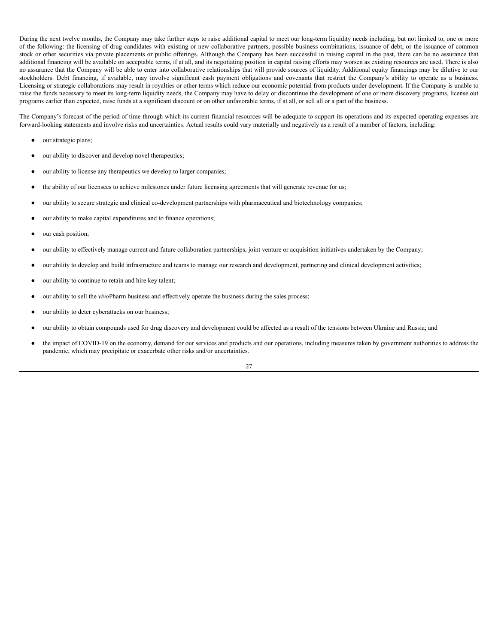During the next twelve months, the Company may take further steps to raise additional capital to meet our long-term liquidity needs including, but not limited to, one or more of the following: the licensing of drug candidates with existing or new collaborative partners, possible business combinations, issuance of debt, or the issuance of common stock or other securities via private placements or public offerings. Although the Company has been successful in raising capital in the past, there can be no assurance that additional financing will be available on acceptable terms, if at all, and its negotiating position in capital raising efforts may worsen as existing resources are used. There is also no assurance that the Company will be able to enter into collaborative relationships that will provide sources of liquidity. Additional equity financings may be dilutive to our stockholders. Debt financing, if available, may involve significant cash payment obligations and covenants that restrict the Company's ability to operate as a business. Licensing or strategic collaborations may result in royalties or other terms which reduce our economic potential from products under development. If the Company is unable to raise the funds necessary to meet its long-term liquidity needs, the Company may have to delay or discontinue the development of one or more discovery programs, license out programs earlier than expected, raise funds at a significant discount or on other unfavorable terms, if at all, or sell all or a part of the business.

The Company's forecast of the period of time through which its current financial resources will be adequate to support its operations and its expected operating expenses are forward-looking statements and involve risks and uncertainties. Actual results could vary materially and negatively as a result of a number of factors, including:

- our strategic plans;
- our ability to discover and develop novel therapeutics;
- our ability to license any therapeutics we develop to larger companies;
- the ability of our licensees to achieve milestones under future licensing agreements that will generate revenue for us;
- our ability to secure strategic and clinical co-development partnerships with pharmaceutical and biotechnology companies;
- our ability to make capital expenditures and to finance operations;
- our cash position;
- our ability to effectively manage current and future collaboration partnerships, joint venture or acquisition initiatives undertaken by the Company;
- our ability to develop and build infrastructure and teams to manage our research and development, partnering and clinical development activities;
- our ability to continue to retain and hire key talent;
- our ability to sell the *vivo*Pharm business and effectively operate the business during the sales process;
- our ability to deter cyberattacks on our business;
- our ability to obtain compounds used for drug discovery and development could be affected as a result of the tensions between Ukraine and Russia; and
- the impact of COVID-19 on the economy, demand for our services and products and our operations, including measures taken by government authorities to address the pandemic, which may precipitate or exacerbate other risks and/or uncertainties.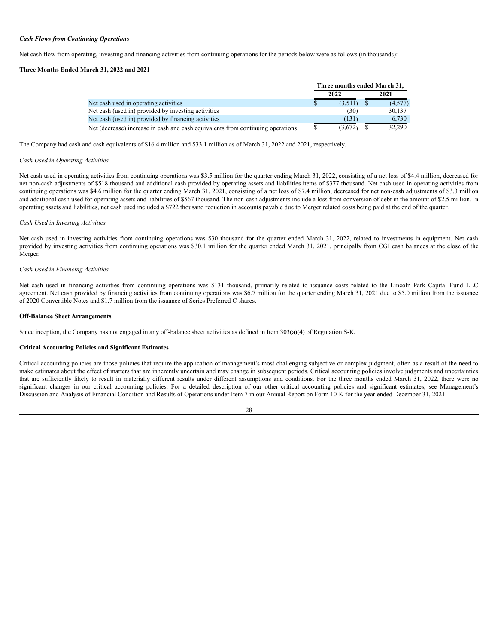## *Cash Flows from Continuing Operations*

Net cash flow from operating, investing and financing activities from continuing operations for the periods below were as follows (in thousands):

### **Three Months Ended March 31, 2022 and 2021**

|                                                                                 | Three months ended March 31, |         |  |         |
|---------------------------------------------------------------------------------|------------------------------|---------|--|---------|
|                                                                                 |                              | 2022    |  | 2021    |
| Net cash used in operating activities                                           |                              | (3.511) |  | (4,577) |
| Net cash (used in) provided by investing activities                             |                              | (30)    |  | 30.137  |
| Net cash (used in) provided by financing activities                             |                              | (131)   |  | 6.730   |
| Net (decrease) increase in cash and cash equivalents from continuing operations |                              | (3,672) |  | 32.290  |

The Company had cash and cash equivalents of \$16.4 million and \$33.1 million as of March 31, 2022 and 2021, respectively.

## *Cash Used in Operating Activities*

Net cash used in operating activities from continuing operations was \$3.5 million for the quarter ending March 31, 2022, consisting of a net loss of \$4.4 million, decreased for net non-cash adjustments of \$518 thousand and additional cash provided by operating assets and liabilities items of \$377 thousand. Net cash used in operating activities from continuing operations was \$4.6 million for the quarter ending March 31, 2021, consisting of a net loss of \$7.4 million, decreased for net non-cash adjustments of \$3.3 million and additional cash used for operating assets and liabilities of \$567 thousand. The non-cash adjustments include a loss from conversion of debt in the amount of \$2.5 million. In operating assets and liabilities, net cash used included a \$722 thousand reduction in accounts payable due to Merger related costs being paid at the end of the quarter.

### *Cash Used in Investing Activities*

Net cash used in investing activities from continuing operations was \$30 thousand for the quarter ended March 31, 2022, related to investments in equipment. Net cash provided by investing activities from continuing operations was \$30.1 million for the quarter ended March 31, 2021, principally from CGI cash balances at the close of the Merger.

## *Cash Used in Financing Activities*

Net cash used in financing activities from continuing operations was \$131 thousand, primarily related to issuance costs related to the Lincoln Park Capital Fund LLC agreement. Net cash provided by financing activities from continuing operations was \$6.7 million for the quarter ending March 31, 2021 due to \$5.0 million from the issuance of 2020 Convertible Notes and \$1.7 million from the issuance of Series Preferred C shares.

## **Off-Balance Sheet Arrangements**

Since inception, the Company has not engaged in any off-balance sheet activities as defined in Item 303(a)(4) of Regulation S-K**.**

#### **Critical Accounting Policies and Significant Estimates**

Critical accounting policies are those policies that require the application of management's most challenging subjective or complex judgment, often as a result of the need to make estimates about the effect of matters that are inherently uncertain and may change in subsequent periods. Critical accounting policies involve judgments and uncertainties that are sufficiently likely to result in materially different results under different assumptions and conditions. For the three months ended March 31, 2022, there were no significant changes in our critical accounting policies. For a detailed description of our other critical accounting policies and significant estimates, see Management's Discussion and Analysis of Financial Condition and Results of Operations under Item 7 in our Annual Report on Form 10-K for the year ended December 31, 2021.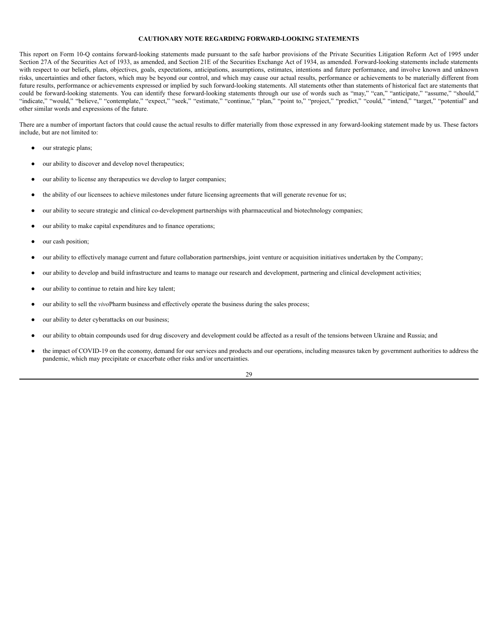#### **CAUTIONARY NOTE REGARDING FORWARD-LOOKING STATEMENTS**

This report on Form 10-Q contains forward-looking statements made pursuant to the safe harbor provisions of the Private Securities Litigation Reform Act of 1995 under Section 27A of the Securities Act of 1933, as amended, and Section 21E of the Securities Exchange Act of 1934, as amended. Forward-looking statements include statements with respect to our beliefs, plans, objectives, goals, expectations, anticipations, assumptions, estimates, intentions and future performance, and involve known and unknown risks, uncertainties and other factors, which may be beyond our control, and which may cause our actual results, performance or achievements to be materially different from future results, performance or achievements expressed or implied by such forward-looking statements. All statements other than statements of historical fact are statements that could be forward-looking statements. You can identify these forward-looking statements through our use of words such as "may," "can," "anticipate," "assume," "should," "indicate," "would," "believe," "contemplate," "expect," "seek," "estimate," "continue," "plan," "point to," "project," "predict," "could," "intend," "target," "potential" and other similar words and expressions of the future.

There are a number of important factors that could cause the actual results to differ materially from those expressed in any forward-looking statement made by us. These factors include, but are not limited to:

- our strategic plans;
- our ability to discover and develop novel therapeutics;
- our ability to license any therapeutics we develop to larger companies;
- the ability of our licensees to achieve milestones under future licensing agreements that will generate revenue for us;
- our ability to secure strategic and clinical co-development partnerships with pharmaceutical and biotechnology companies;
- our ability to make capital expenditures and to finance operations;
- our cash position;
- our ability to effectively manage current and future collaboration partnerships, joint venture or acquisition initiatives undertaken by the Company;
- our ability to develop and build infrastructure and teams to manage our research and development, partnering and clinical development activities;
- our ability to continue to retain and hire key talent;
- our ability to sell the *vivo*Pharm business and effectively operate the business during the sales process;
- our ability to deter cyberattacks on our business;
- our ability to obtain compounds used for drug discovery and development could be affected as a result of the tensions between Ukraine and Russia; and
- the impact of COVID-19 on the economy, demand for our services and products and our operations, including measures taken by government authorities to address the pandemic, which may precipitate or exacerbate other risks and/or uncertainties.

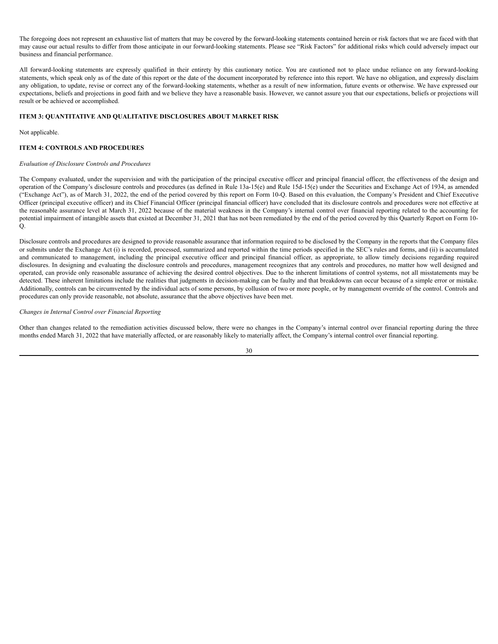The foregoing does not represent an exhaustive list of matters that may be covered by the forward-looking statements contained herein or risk factors that we are faced with that may cause our actual results to differ from those anticipate in our forward-looking statements. Please see "Risk Factors" for additional risks which could adversely impact our business and financial performance.

All forward-looking statements are expressly qualified in their entirety by this cautionary notice. You are cautioned not to place undue reliance on any forward-looking statements, which speak only as of the date of this report or the date of the document incorporated by reference into this report. We have no obligation, and expressly disclaim any obligation, to update, revise or correct any of the forward-looking statements, whether as a result of new information, future events or otherwise. We have expressed our expectations, beliefs and projections in good faith and we believe they have a reasonable basis. However, we cannot assure you that our expectations, beliefs or projections will result or be achieved or accomplished.

# <span id="page-29-0"></span>**ITEM 3: QUANTITATIVE AND QUALITATIVE DISCLOSURES ABOUT MARKET RISK**

Not applicable.

#### <span id="page-29-1"></span>**ITEM 4: CONTROLS AND PROCEDURES**

#### *Evaluation of Disclosure Controls and Procedures*

The Company evaluated, under the supervision and with the participation of the principal executive officer and principal financial officer, the effectiveness of the design and operation of the Company's disclosure controls and procedures (as defined in Rule 13a-15(e) and Rule 15d-15(e) under the Securities and Exchange Act of 1934, as amended ("Exchange Act"), as of March 31, 2022, the end of the period covered by this report on Form 10-Q. Based on this evaluation, the Company's President and Chief Executive Officer (principal executive officer) and its Chief Financial Officer (principal financial officer) have concluded that its disclosure controls and procedures were not effective at the reasonable assurance level at March 31, 2022 because of the material weakness in the Company's internal control over financial reporting related to the accounting for potential impairment of intangible assets that existed at December 31, 2021 that has not been remediated by the end of the period covered by this Quarterly Report on Form 10- Q.

Disclosure controls and procedures are designed to provide reasonable assurance that information required to be disclosed by the Company in the reports that the Company files or submits under the Exchange Act (i) is recorded, processed, summarized and reported within the time periods specified in the SEC's rules and forms, and (ii) is accumulated and communicated to management, including the principal executive officer and principal financial officer, as appropriate, to allow timely decisions regarding required disclosures. In designing and evaluating the disclosure controls and procedures, management recognizes that any controls and procedures, no matter how well designed and operated, can provide only reasonable assurance of achieving the desired control objectives. Due to the inherent limitations of control systems, not all misstatements may be detected. These inherent limitations include the realities that judgments in decision-making can be faulty and that breakdowns can occur because of a simple error or mistake. Additionally, controls can be circumvented by the individual acts of some persons, by collusion of two or more people, or by management override of the control. Controls and procedures can only provide reasonable, not absolute, assurance that the above objectives have been met.

#### *Changes in Internal Control over Financial Reporting*

Other than changes related to the remediation activities discussed below, there were no changes in the Company's internal control over financial reporting during the three months ended March 31, 2022 that have materially affected, or are reasonably likely to materially affect, the Company's internal control over financial reporting.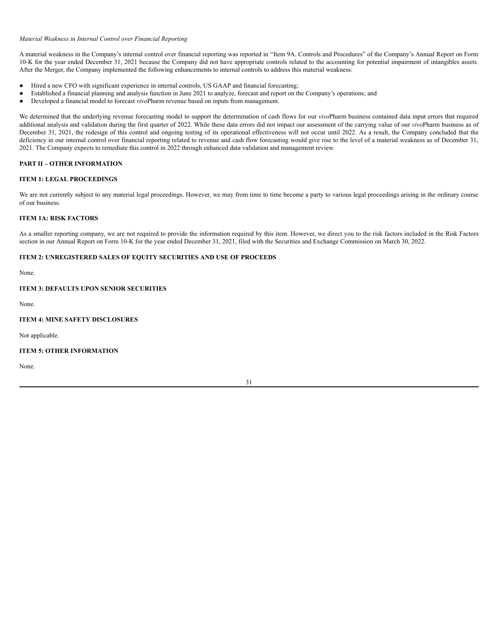## *Material Weakness in Internal Control over Financial Reporting*

A material weakness in the Company's internal control over financial reporting was reported in "Item 9A. Controls and Procedures" of the Company's Annual Report on Form 10-K for the year ended December 31, 2021 because the Company did not have appropriate controls related to the accounting for potential impairment of intangibles assets. After the Merger, the Company implemented the following enhancements to internal controls to address this material weakness:

- Hired a new CFO with significant experience in internal controls, US GAAP and financial forecasting;
- Established a financial planning and analysis function in June 2021 to analyze, forecast and report on the Company's operations; and
- Developed a financial model to forecast *vivoPharm revenue based on inputs from management*.

We determined that the underlying revenue forecasting model to support the determination of cash flows for our *vivo*Pharm business contained data input errors that required additional analysis and validation during the first quarter of 2022. While these data errors did not impact our assessment of the carrying value of our *vivo*Pharm business as of December 31, 2021, the redesign of this control and ongoing testing of its operational effectiveness will not occur until 2022. As a result, the Company concluded that the deficiency in our internal control over financial reporting related to revenue and cash flow forecasting would give rise to the level of a material weakness as of December 31, 2021. The Company expects to remediate this control in 2022 through enhanced data validation and management review.

# <span id="page-30-0"></span>**PART II – OTHER INFORMATION**

# <span id="page-30-1"></span>**ITEM 1: LEGAL PROCEEDINGS**

We are not currently subject to any material legal proceedings. However, we may from time to time become a party to various legal proceedings arising in the ordinary course of our business.

## <span id="page-30-2"></span>**ITEM 1A: RISK FACTORS**

As a smaller reporting company, we are not required to provide the information required by this item. However, we direct you to the risk factors included in the Risk Factors section in our Annual Report on Form 10-K for the year ended December 31, 2021, filed with the Securities and Exchange Commission on March 30, 2022.

## <span id="page-30-3"></span>**ITEM 2: UNREGISTERED SALES OF EQUITY SECURITIES AND USE OF PROCEEDS**

None.

# <span id="page-30-4"></span>**ITEM 3: DEFAULTS UPON SENIOR SECURITIES**

None.

## <span id="page-30-5"></span>**ITEM 4: MINE SAFETY DISCLOSURES**

Not applicable.

## <span id="page-30-6"></span>**ITEM 5: OTHER INFORMATION**

None.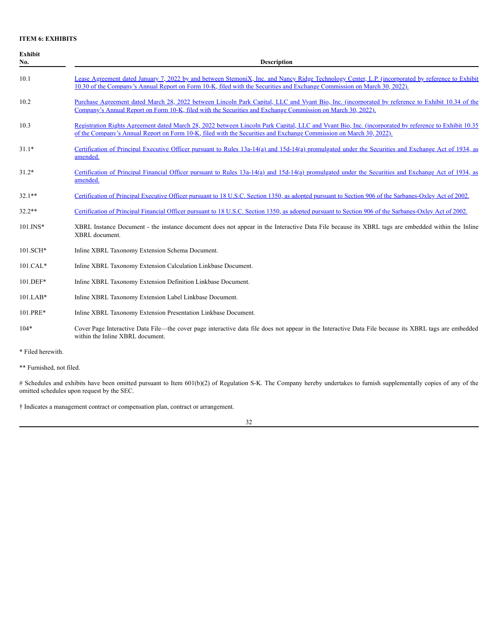## <span id="page-31-0"></span>**ITEM 6: EXHIBITS**

| <b>Exhibit</b><br>No. | <b>Description</b>                                                                                                                                                                                                                                                            |
|-----------------------|-------------------------------------------------------------------------------------------------------------------------------------------------------------------------------------------------------------------------------------------------------------------------------|
| 10.1                  | Lease Agreement dated January 7, 2022 by and between StemoniX, Inc. and Nancy Ridge Technology Center, L.P. (incorporated by reference to Exhibit<br>10.30 of the Company's Annual Report on Form 10-K, filed with the Securities and Exchange Commission on March 30, 2022). |
| 10.2                  | Purchase Agreement dated March 28, 2022 between Lincoln Park Capital, LLC and Vyant Bio, Inc. (incorporated by reference to Exhibit 10.34 of the<br>Company's Annual Report on Form 10-K, filed with the Securities and Exchange Commission on March 30, 2022).               |
| 10.3                  | Registration Rights Agreement dated March 28, 2022 between Lincoln Park Capital, LLC and Vyant Bio, Inc. (incorporated by reference to Exhibit 10.35<br>of the Company's Annual Report on Form 10-K, filed with the Securities and Exchange Commission on March 30, 2022).    |
| $31.1*$               | Certification of Principal Executive Officer pursuant to Rules 13a-14(a) and 15d-14(a) promulgated under the Securities and Exchange Act of 1934, as<br>amended.                                                                                                              |
| $31.2*$               | Certification of Principal Financial Officer pursuant to Rules 13a-14(a) and 15d-14(a) promulgated under the Securities and Exchange Act of 1934, as<br>amended.                                                                                                              |
| $32.1**$              | Certification of Principal Executive Officer pursuant to 18 U.S.C. Section 1350, as adopted pursuant to Section 906 of the Sarbanes-Oxley Act of 2002.                                                                                                                        |
| $32.2**$              | Certification of Principal Financial Officer pursuant to 18 U.S.C. Section 1350, as adopted pursuant to Section 906 of the Sarbanes-Oxley Act of 2002.                                                                                                                        |
| $101$ . INS*          | XBRL Instance Document - the instance document does not appear in the Interactive Data File because its XBRL tags are embedded within the Inline<br>XBRL document.                                                                                                            |
| $101.SCH*$            | Inline XBRL Taxonomy Extension Schema Document.                                                                                                                                                                                                                               |
| 101.CAL*              | Inline XBRL Taxonomy Extension Calculation Linkbase Document.                                                                                                                                                                                                                 |
| 101.DEF*              | Inline XBRL Taxonomy Extension Definition Linkbase Document.                                                                                                                                                                                                                  |
| $101.LAB*$            | Inline XBRL Taxonomy Extension Label Linkbase Document.                                                                                                                                                                                                                       |
| 101.PRE*              | Inline XBRL Taxonomy Extension Presentation Linkbase Document.                                                                                                                                                                                                                |
| $104*$                | Cover Page Interactive Data File—the cover page interactive data file does not appear in the Interactive Data File because its XBRL tags are embedded<br>within the Inline XBRL document.                                                                                     |

\* Filed herewith.

# Schedules and exhibits have been omitted pursuant to Item 601(b)(2) of Regulation S-K. The Company hereby undertakes to furnish supplementally copies of any of the omitted schedules upon request by the SEC.

† Indicates a management contract or compensation plan, contract or arrangement.

<sup>\*\*</sup> Furnished, not filed.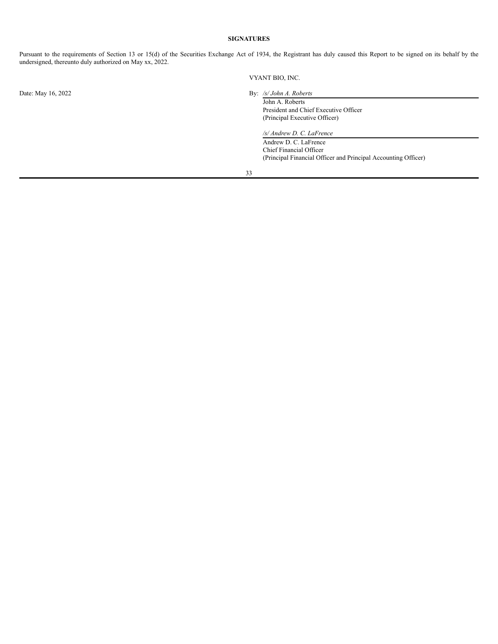## **SIGNATURES**

<span id="page-32-0"></span>Pursuant to the requirements of Section 13 or 15(d) of the Securities Exchange Act of 1934, the Registrant has duly caused this Report to be signed on its behalf by the undersigned, thereunto duly authorized on May xx, 2022.

VYANT BIO, INC.

Date: May 16, 2022 By: */s/ John A. Roberts*

John A. Roberts President and Chief Executive Officer (Principal Executive Officer)

*/s/ Andrew D. C. LaFrence*

Andrew D. C. LaFrence Chief Financial Officer (Principal Financial Officer and Principal Accounting Officer)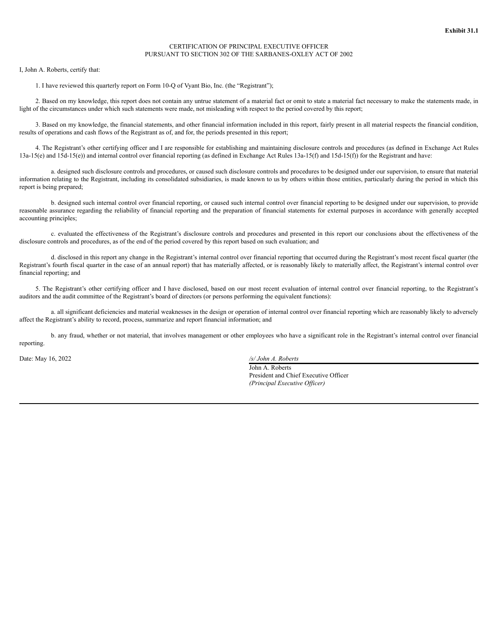## CERTIFICATION OF PRINCIPAL EXECUTIVE OFFICER PURSUANT TO SECTION 302 OF THE SARBANES-OXLEY ACT OF 2002

I, John A. Roberts, certify that:

1. I have reviewed this quarterly report on Form 10-Q of Vyant Bio, Inc. (the "Registrant");

2. Based on my knowledge, this report does not contain any untrue statement of a material fact or omit to state a material fact necessary to make the statements made, in light of the circumstances under which such statements were made, not misleading with respect to the period covered by this report;

3. Based on my knowledge, the financial statements, and other financial information included in this report, fairly present in all material respects the financial condition, results of operations and cash flows of the Registrant as of, and for, the periods presented in this report;

4. The Registrant's other certifying officer and I are responsible for establishing and maintaining disclosure controls and procedures (as defined in Exchange Act Rules  $13a-15(e)$  and  $15d-15(e)$  and internal control over financial reporting (as defined in Exchange Act Rules  $13a-15(f)$  and  $15d-15(f)$ ) for the Registrant and have:

a. designed such disclosure controls and procedures, or caused such disclosure controls and procedures to be designed under our supervision, to ensure that material information relating to the Registrant, including its consolidated subsidiaries, is made known to us by others within those entities, particularly during the period in which this report is being prepared;

b. designed such internal control over financial reporting, or caused such internal control over financial reporting to be designed under our supervision, to provide reasonable assurance regarding the reliability of financial reporting and the preparation of financial statements for external purposes in accordance with generally accepted accounting principles;

c. evaluated the effectiveness of the Registrant's disclosure controls and procedures and presented in this report our conclusions about the effectiveness of the disclosure controls and procedures, as of the end of the period covered by this report based on such evaluation; and

d. disclosed in this report any change in the Registrant's internal control over financial reporting that occurred during the Registrant's most recent fiscal quarter (the Registrant's fourth fiscal quarter in the case of an annual report) that has materially affected, or is reasonably likely to materially affect, the Registrant's internal control over financial reporting; and

5. The Registrant's other certifying officer and I have disclosed, based on our most recent evaluation of internal control over financial reporting, to the Registrant's auditors and the audit committee of the Registrant's board of directors (or persons performing the equivalent functions):

a. all significant deficiencies and material weaknesses in the design or operation of internal control over financial reporting which are reasonably likely to adversely affect the Registrant's ability to record, process, summarize and report financial information; and

b. any fraud, whether or not material, that involves management or other employees who have a significant role in the Registrant's internal control over financial reporting.

Date: May 16, 2022 */s/ John A. Roberts*

John A. Roberts President and Chief Executive Officer *(Principal Executive Of icer)*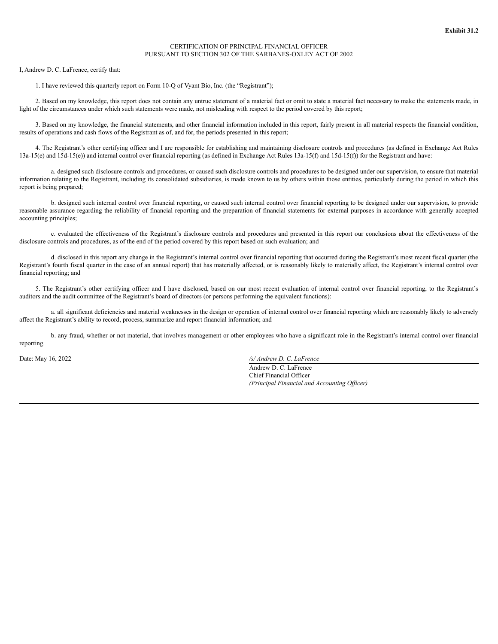## CERTIFICATION OF PRINCIPAL FINANCIAL OFFICER PURSUANT TO SECTION 302 OF THE SARBANES-OXLEY ACT OF 2002

I, Andrew D. C. LaFrence, certify that:

1. I have reviewed this quarterly report on Form 10-Q of Vyant Bio, Inc. (the "Registrant");

2. Based on my knowledge, this report does not contain any untrue statement of a material fact or omit to state a material fact necessary to make the statements made, in light of the circumstances under which such statements were made, not misleading with respect to the period covered by this report;

3. Based on my knowledge, the financial statements, and other financial information included in this report, fairly present in all material respects the financial condition, results of operations and cash flows of the Registrant as of, and for, the periods presented in this report;

4. The Registrant's other certifying officer and I are responsible for establishing and maintaining disclosure controls and procedures (as defined in Exchange Act Rules  $13a-15(e)$  and  $15d-15(e)$  and internal control over financial reporting (as defined in Exchange Act Rules  $13a-15(f)$  and  $15d-15(f)$ ) for the Registrant and have:

a. designed such disclosure controls and procedures, or caused such disclosure controls and procedures to be designed under our supervision, to ensure that material information relating to the Registrant, including its consolidated subsidiaries, is made known to us by others within those entities, particularly during the period in which this report is being prepared;

b. designed such internal control over financial reporting, or caused such internal control over financial reporting to be designed under our supervision, to provide reasonable assurance regarding the reliability of financial reporting and the preparation of financial statements for external purposes in accordance with generally accepted accounting principles;

c. evaluated the effectiveness of the Registrant's disclosure controls and procedures and presented in this report our conclusions about the effectiveness of the disclosure controls and procedures, as of the end of the period covered by this report based on such evaluation; and

d. disclosed in this report any change in the Registrant's internal control over financial reporting that occurred during the Registrant's most recent fiscal quarter (the Registrant's fourth fiscal quarter in the case of an annual report) that has materially affected, or is reasonably likely to materially affect, the Registrant's internal control over financial reporting; and

5. The Registrant's other certifying officer and I have disclosed, based on our most recent evaluation of internal control over financial reporting, to the Registrant's auditors and the audit committee of the Registrant's board of directors (or persons performing the equivalent functions):

a. all significant deficiencies and material weaknesses in the design or operation of internal control over financial reporting which are reasonably likely to adversely affect the Registrant's ability to record, process, summarize and report financial information; and

b. any fraud, whether or not material, that involves management or other employees who have a significant role in the Registrant's internal control over financial reporting.

Date: May 16, 2022 */s/ Andrew D. C. LaFrence*

Andrew D. C. LaFrence Chief Financial Officer *(Principal Financial and Accounting Of icer)*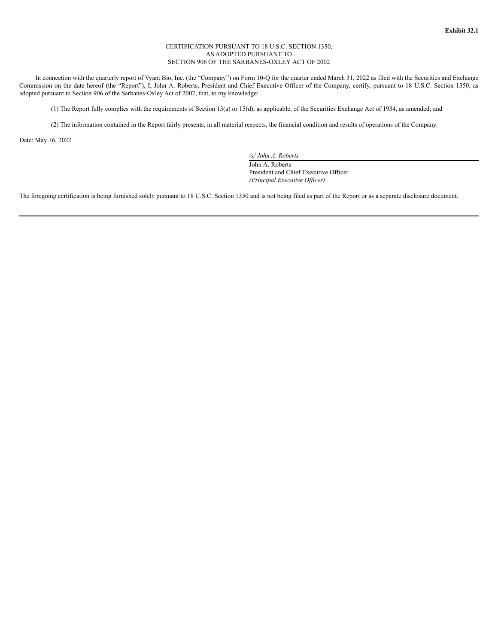## CERTIFICATION PURSUANT TO 18 U.S.C. SECTION 1350, AS ADOPTED PURSUANT TO SECTION 906 OF THE SARBANES-OXLEY ACT OF 2002

In connection with the quarterly report of Vyant Bio, Inc. (the "Company") on Form 10-Q for the quarter ended March 31, 2022 as filed with the Securities and Exchange Commission on the date hereof (the "Report"), I, John A. Roberts, President and Chief Executive Officer of the Company, certify, pursuant to 18 U.S.C. Section 1350, as adopted pursuant to Section 906 of the Sarbanes-Oxley Act of 2002, that, to my knowledge:

(1) The Report fully complies with the requirements of Section 13(a) or 15(d), as applicable, of the Securities Exchange Act of 1934, as amended; and

(2) The information contained in the Report fairly presents, in all material respects, the financial condition and results of operations of the Company.

Date: May 16, 2022

*/s/ John A. Roberts*

John A. Roberts President and Chief Executive Officer *(Principal Executive Of icer)*

The foregoing certification is being furnished solely pursuant to 18 U.S.C. Section 1350 and is not being filed as part of the Report or as a separate disclosure document.